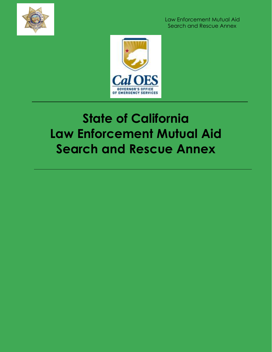

Law Enforcement Mutual Aid Search and Rescue Annex



# **State of California Law Enforcement Mutual Aid Search and Rescue Annex**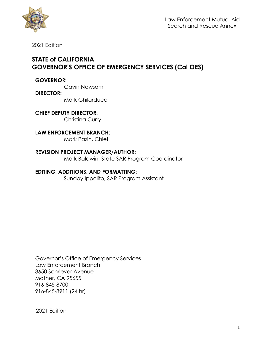

2021 Edition

# **STATE of CALIFORNIA GOVERNOR'S OFFICE OF EMERGENCY SERVICES (Cal OES)**

#### **GOVERNOR:**

Gavin Newsom

**DIRECTOR:**

Mark Ghilarducci

**CHIEF DEPUTY DIRECTOR:** Christina Curry

**LAW ENFORCEMENT BRANCH:** Mark Pazin, Chief

# **REVISION PROJECT MANAGER/AUTHOR:**

Mark Baldwin, State SAR Program Coordinator

#### **EDITING, ADDITIONS, AND FORMATTING:**

Sunday Ippolito, SAR Program Assistant

Governor's Office of Emergency Services Law Enforcement Branch 3650 Schriever Avenue Mather, CA 95655 916-845-8700 916-845-8911 (24 hr)

2021 Edition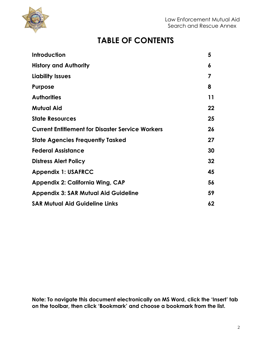

# **TABLE OF CONTENTS**

| <b>Introduction</b>                                     | 5  |
|---------------------------------------------------------|----|
| <b>History and Authority</b>                            | 6  |
| <b>Liability Issues</b>                                 | 7  |
| <b>Purpose</b>                                          | 8  |
| <b>Authorities</b>                                      | 11 |
| <b>Mutual Aid</b>                                       | 22 |
| <b>State Resources</b>                                  | 25 |
| <b>Current Entitlement for Disaster Service Workers</b> | 26 |
| <b>State Agencies Frequently Tasked</b>                 |    |
| <b>Federal Assistance</b>                               | 30 |
| <b>Distress Alert Policy</b>                            |    |
| <b>Appendix 1: USAFRCC</b>                              | 45 |
| <b>Appendix 2: California Wing, CAP</b>                 | 56 |
| <b>Appendix 3: SAR Mutual Aid Guideline</b>             | 59 |
| <b>SAR Mutual Aid Guideline Links</b>                   |    |

**Note: To navigate this document electronically on MS Word, click the 'Insert' tab on the toolbar, then click 'Bookmark' and choose a bookmark from the list.**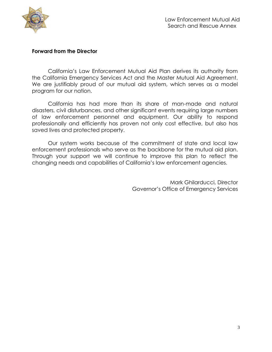

#### **Forward from the Director**

California's Law Enforcement Mutual Aid Plan derives its authority from the California Emergency Services Act and the Master Mutual Aid Agreement. We are justifiably proud of our mutual aid system, which serves as a model program for our nation.

California has had more than its share of man-made and natural disasters, civil disturbances, and other significant events requiring large numbers of law enforcement personnel and equipment. Our ability to respond professionally and efficiently has proven not only cost effective, but also has saved lives and protected property.

Our system works because of the commitment of state and local law enforcement professionals who serve as the backbone for the mutual aid plan. Through your support we will continue to improve this plan to reflect the changing needs and capabilities of California's law enforcement agencies.

> Mark Ghilarducci, Director Governor's Office of Emergency Services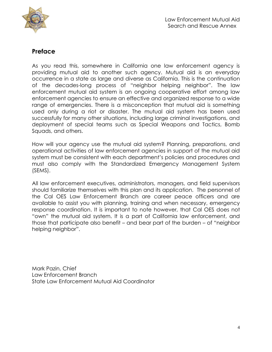

# **Preface**

As you read this, somewhere in California one law enforcement agency is providing mutual aid to another such agency. Mutual aid is an everyday occurrence in a state as large and diverse as California. This is the continuation of the decades-long process of "neighbor helping neighbor". The law enforcement mutual aid system is an ongoing cooperative effort among law enforcement agencies to ensure an effective and organized response to a wide range of emergencies. There is a misconception that mutual aid is something used only during a riot or disaster. The mutual aid system has been used successfully for many other situations, including large criminal investigations, and deployment of special teams such as Special Weapons and Tactics, Bomb Squads, and others.

How will your agency use the mutual aid system? Planning, preparations, and operational activities of law enforcement agencies in support of the mutual aid system must be consistent with each department's policies and procedures and must also comply with the Standardized Emergency Management System (SEMS).

All law enforcement executives, administrators, managers, and field supervisors should familiarize themselves with this plan and its application. The personnel of the Cal OES Law Enforcement Branch are career peace officers and are available to assist you with planning, training and when necessary, emergency response coordination. It is important to note however, that Cal OES does not "own" the mutual aid system. It is a part of California law enforcement, and those that participate also benefit – and bear part of the burden – of "neighbor helping neighbor".

Mark Pazin, Chief Law Enforcement Branch State Law Enforcement Mutual Aid Coordinator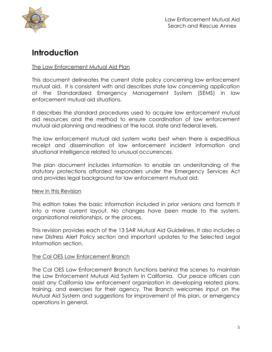

# **Introduction**

#### The Law Enforcement Mutual Aid Plan

This document delineates the current state policy concerning law enforcement mutual aid. It is consistent with and describes state law concerning application of the Standardized Emergency Management System (SEMS) in law enforcement mutual aid situations.

It describes the standard procedures used to acquire law enforcement mutual aid resources and the method to ensure coordination of law enforcement mutual aid planning and readiness at the local, state and federal levels.

The law enforcement mutual aid system works best when there is expeditious receipt and dissemination of law enforcement incident information and situational intelligence related to unusual occurrences.

The plan document includes information to enable an understanding of the statutory protections afforded responders under the Emergency Services Act and provides legal background for law enforcement mutual aid.

#### New in this Revision

This edition takes the basic information included in prior versions and formats it into a more current layout. No changes have been made to the system, organizational relationships, or the process.

This revision provides each of the 13 SAR Mutual Aid Guidelines. It also includes a new Distress Alert Policy section and important updates to the Selected Legal Information section.

#### The Cal OES Law Enforcement Branch

The Cal OES Law Enforcement Branch functions behind the scenes to maintain the Law Enforcement Mutual Aid System in California. Our peace officers can assist any California law enforcement organization in developing related plans, training, and exercises for their agency. The Branch welcomes input on the Mutual Aid System and suggestions for improvement of this plan, or emergency operations in general.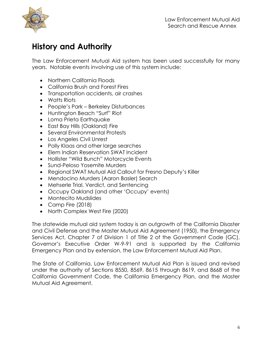

# **History and Authority**

The Law Enforcement Mutual Aid system has been used successfully for many years. Notable events involving use of this system include:

- Northern California Floods
- California Brush and Forest Fires
- Transportation accidents, air crashes
- Watts Riots
- People's Park Berkeley Disturbances
- Huntington Beach "Surf" Riot
- Loma Prieta Earthquake
- East Bay Hills (Oakland) Fire
- Several Environmental Protests
- Los Angeles Civil Unrest
- Polly Klaas and other large searches
- Elem Indian Reservation SWAT Incident
- Hollister "Wild Bunch" Motorcycle Events
- Sund-Peloso Yosemite Murders
- Regional SWAT Mutual Aid Callout for Fresno Deputy's Killer
- Mendocino Murders (Aaron Basler) Search
- Mehserle Trial, Verdict, and Sentencing
- Occupy Oakland (and other 'Occupy' events)
- Montecito Mudslides
- Camp Fire (2018)
- North Complex West Fire (2020)

The statewide mutual aid system today is an outgrowth of the California Disaster and Civil Defense and the Master Mutual Aid Agreement (1950), the Emergency Services Act, Chapter 7 of Division 1 of Title 2 of the Government Code (GC), Governor's Executive Order W-9-91 and is supported by the California Emergency Plan and by extension, the Law Enforcement Mutual Aid Plan.

The State of California, Law Enforcement Mutual Aid Plan is issued and revised under the authority of Sections 8550, 8569, 8615 through 8619, and 8668 of the California Government Code, the California Emergency Plan, and the Master Mutual Aid Agreement.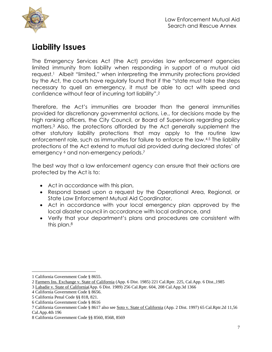

# **Liability Issues**

The Emergency Services Act (the Act) provides law enforcement agencies limited immunity from liability when responding in support of a mutual aid request.<sup>1</sup> Albeit "limited," when interpreting the immunity protections provided by the Act, the courts have regularly found that if the "state must take the steps necessary to quell an emergency, it must be able to act with speed and confidence without fear of incurring tort liability". 2

Therefore, the Act's immunities are broader than the general immunities provided for discretionary governmental actions, i.e., for decisions made by the high ranking officers, the City Council, or Board of Supervisors regarding policy matters.<sup>3</sup> Also, the protections afforded by the Act generally supplement the other statutory liability protections that may apply to the routine law enforcement role, such as immunities for failure to enforce the law.4,5 The liability protections of the Act extend to mutual aid provided during declared states' of emergency <sup>6</sup> and non-emergency periods.<sup>7</sup>

The best way that a law enforcement agency can ensure that their actions are protected by the Act is to:

- Act in accordance with this plan,
- Respond based upon a request by the Operational Area, Regional, or State Law Enforcement Mutual Aid Coordinator,
- Act in accordance with your local emergency plan approved by the local disaster council in accordance with local ordinance, and
- Verify that your department's plans and procedures are consistent with this plan.<sup>8</sup>

<sup>1</sup> California Government Code § 8655.

<sup>2</sup> Farmers Ins. Exchange v. State of California (App. 6 Dist. 1985) 221 Cal.Rptr. 225, Cal.App. 6 Dist.,1985

<sup>3</sup> Labadie v. State of California(App. 6 Dist. 1989) 256 Cal.Rptr. 604, 208 Cal.App.3d 1366

<sup>4</sup> California Government Code § 8656.

<sup>5</sup> California Penal Code §§ 818, 821.

<sup>6</sup> California Government Code § 8616

<sup>7</sup> California Government Code § 8617 also see Soto v. State of California (App. 2 Dist. 1997) 65 Cal.Rptr.2d 11,56 Cal.App.4th 196

<sup>8</sup> California Government Code §§ 8560, 8568, 8569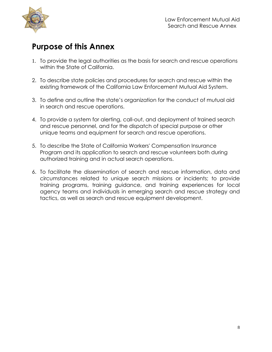

# **Purpose of this Annex**

- 1. To provide the legal authorities as the basis for search and rescue operations within the State of California.
- 2. To describe state policies and procedures for search and rescue within the existing framework of the California Law Enforcement Mutual Aid System.
- 3. To define and outline the state's organization for the conduct of mutual aid in search and rescue operations.
- 4. To provide a system for alerting, call-out, and deployment of trained search and rescue personnel, and for the dispatch of special purpose or other unique teams and equipment for search and rescue operations.
- 5. To describe the State of California Workers' Compensation Insurance Program and its application to search and rescue volunteers both during authorized training and in actual search operations.
- 6. To facilitate the dissemination of search and rescue information, data and circumstances related to unique search missions or incidents; to provide training programs, training guidance, and training experiences for local agency teams and individuals in emerging search and rescue strategy and tactics, as well as search and rescue equipment development.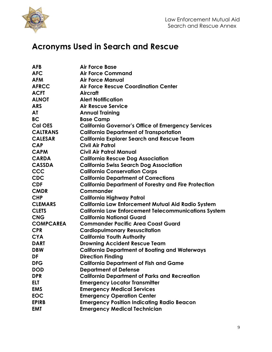

# **Acronyms Used in Search and Rescue**

| <b>AFB</b>       | Air Force Base                                               |
|------------------|--------------------------------------------------------------|
| <b>AFC</b>       | <b>Air Force Command</b>                                     |
| <b>AFM</b>       | <b>Air Force Manual</b>                                      |
| <b>AFRCC</b>     | <b>Air Force Rescue Coordination Center</b>                  |
| <b>ACFT</b>      | Aircraft                                                     |
| <b>ALNOT</b>     | <b>Alert Notification</b>                                    |
| <b>ARS</b>       | <b>Air Rescue Service</b>                                    |
| <b>AT</b>        | <b>Annual Training</b>                                       |
| <b>BC</b>        | <b>Base Camp</b>                                             |
| Cal OES          | <b>California Governor's Office of Emergency Services</b>    |
| <b>CALTRANS</b>  | <b>California Department of Transportation</b>               |
| <b>CALESAR</b>   | <b>California Explorer Search and Rescue Team</b>            |
| <b>CAP</b>       | <b>Civil Air Patrol</b>                                      |
| <b>CAPM</b>      | Civil Air Patrol Manual                                      |
| <b>CARDA</b>     | <b>California Rescue Dog Association</b>                     |
| <b>CASSDA</b>    | <b>California Swiss Search Dog Association</b>               |
| <b>CCC</b>       | <b>California Conservation Corps</b>                         |
| <b>CDC</b>       | <b>California Department of Corrections</b>                  |
| <b>CDF</b>       | <b>California Department of Forestry and Fire Protection</b> |
| <b>CMDR</b>      | Commander                                                    |
| <b>CHP</b>       | <b>California Highway Patrol</b>                             |
| <b>CLEMARS</b>   | California Law Enforcement Mutual Aid Radio System           |
| <b>CLETS</b>     | <b>California Law Enforcement Telecommunications System</b>  |
| <b>CNG</b>       | <b>California National Guard</b>                             |
| <b>COMPCAREA</b> | <b>Commander Pacific Area Coast Guard</b>                    |
| <b>CPR</b>       | <b>Cardiopulmonary Resuscitation</b>                         |
| <b>CYA</b>       | <b>California Youth Authority</b>                            |
| <b>DART</b>      | <b>Drowning Accident Rescue Team</b>                         |
| <b>DBW</b>       | <b>California Department of Boating and Waterways</b>        |
| DF               | <b>Direction Finding</b>                                     |
| <b>DFG</b>       | <b>California Department of Fish and Game</b>                |
| <b>DOD</b>       | <b>Department of Defense</b>                                 |
| <b>DPR</b>       | <b>California Department of Parks and Recreation</b>         |
| <b>ELT</b>       | <b>Emergency Locator Transmitter</b>                         |
| <b>EMS</b>       | <b>Emergency Medical Services</b>                            |
| <b>EOC</b>       | <b>Emergency Operation Center</b>                            |
| <b>EPIRB</b>     | <b>Emergency Position Indicating Radio Beacon</b>            |
| <b>EMT</b>       | <b>Emergency Medical Technician</b>                          |
|                  |                                                              |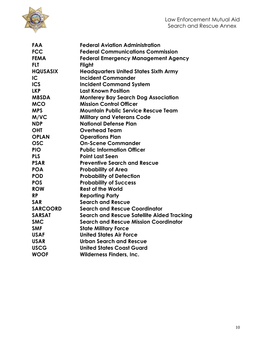

| <b>FAA</b>      | <b>Federal Aviation Administration</b>            |
|-----------------|---------------------------------------------------|
| <b>FCC</b>      | <b>Federal Communications Commission</b>          |
| <b>FEMA</b>     | <b>Federal Emergency Management Agency</b>        |
| <b>FLT</b>      | <b>Flight</b>                                     |
| <b>HQUSASIX</b> | <b>Headquarters United States Sixth Army</b>      |
| IC              | <b>Incident Commander</b>                         |
| <b>ICS</b>      | <b>Incident Command System</b>                    |
| <b>LKP</b>      | <b>Last Known Position</b>                        |
| <b>MBSDA</b>    | <b>Monterey Bay Search Dog Association</b>        |
| <b>MCO</b>      | <b>Mission Control Officer</b>                    |
| <b>MPS</b>      | <b>Mountain Public Service Rescue Team</b>        |
| M/VC            | <b>Military and Veterans Code</b>                 |
| <b>NDP</b>      | <b>National Defense Plan</b>                      |
| <b>OHT</b>      | <b>Overhead Team</b>                              |
| <b>OPLAN</b>    | <b>Operations Plan</b>                            |
| <b>OSC</b>      | <b>On-Scene Commander</b>                         |
| <b>PIO</b>      | <b>Public Information Officer</b>                 |
| <b>PLS</b>      | <b>Point Last Seen</b>                            |
| <b>PSAR</b>     | <b>Preventive Search and Rescue</b>               |
| <b>POA</b>      | <b>Probability of Area</b>                        |
| <b>POD</b>      | <b>Probability of Detection</b>                   |
| <b>POS</b>      | <b>Probability of Success</b>                     |
| <b>ROW</b>      | <b>Rest of the World</b>                          |
| <b>RP</b>       | <b>Reporting Party</b>                            |
| <b>SAR</b>      | <b>Search and Rescue</b>                          |
| <b>SARCOORD</b> | <b>Search and Rescue Coordinator</b>              |
| <b>SARSAT</b>   | <b>Search and Rescue Satellite Aided Tracking</b> |
| <b>SMC</b>      | <b>Search and Rescue Mission Coordinator</b>      |
| <b>SMF</b>      | <b>State Military Force</b>                       |
| <b>USAF</b>     | <b>United States Air Force</b>                    |
| <b>USAR</b>     | Urban Search and Rescue                           |
| <b>USCG</b>     | <b>United States Coast Guard</b>                  |
| <b>WOOF</b>     | <b>Wilderness Finders, Inc.</b>                   |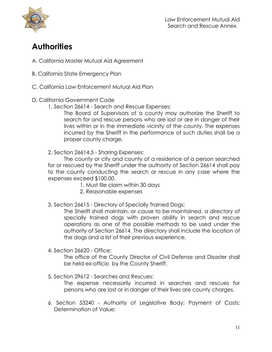

# **Authorities**

- A. California Master Mutual Aid Agreement
- B. California State Emergency Plan
- C. California Law Enforcement Mutual Aid Plan
- D. California Government Code
	- 1. Section 26614 Search and Rescue Expenses:

The Board of Supervisors of a county may authorize the Sheriff to search for and rescue persons who are lost or are in danger of their lives within or in the immediate vicinity of the county. The expenses incurred by the Sheriff in the performance of such duties shall be a proper county charge.

2. Section 26614.5 - Sharing Expenses:

The county or city and county of a residence of a person searched for or rescued by the Sheriff under the authority of Section 26614 shall pay to the county conducting the search or rescue in any case where the expenses exceed \$100.00.

- 1. Must file claim within 30 days
- 2. Reasonable expenses
- 3. Section 26615 Directory of Specially Trained Dogs:

The Sheriff shall maintain, or cause to be maintained, a directory of specially trained dogs with proven ability in search and rescue operations as one of the possible methods to be used under the authority of Section 26614. The directory shall include the location of the dogs and a list of their previous experience.

4. Section 26620 - Office:

The office of the County Director of Civil Defense and Disaster shall be held ex-officio by the County Sheriff.

5. Section 29612 - Searches and Rescues:

The expense necessarily incurred in searches and rescues for persons who are lost or in danger of their lives are county charges.

6. Section 53240 - Authority of Legislative Body; Payment of Costs; Determination of Value: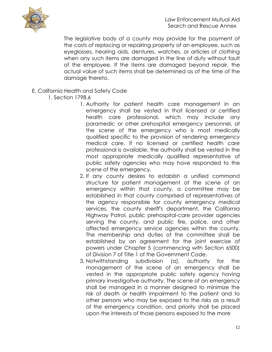

The legislative body of a county may provide for the payment of the costs of replacing or repairing property of an employee, such as eyeglasses, hearing aids, dentures, watches, or articles of clothing when any such items are damaged in the line of duty without fault of the employee. If the items are damaged beyond repair, the actual value of such items shall be determined as of the time of the damage thereto.

- E. California Health and Safety Code
	- 1. Section 1798.6
		- 1. Authority for patient health care management in an emergency shall be vested in that licensed or certified health care professional, which may include any paramedic or other prehospital emergency personnel, at the scene of the emergency who is most medically qualified specific to the provision of rendering emergency medical care. If no licensed or certified health care professional is available, the authority shall be vested in the most appropriate medically qualified representative of public safety agencies who may have responded to the scene of the emergency.
		- 2. If any county desires to establish a unified command structure for patient management at the scene of an emergency within that county, a committee may be established in that county comprised of representatives of the agency responsible for county emergency medical services, the county sheriff's department, the California Highway Patrol, public prehospital-care provider agencies serving the county, and public fire, police, and other affected emergency service agencies within the county. The membership and duties of the committee shall be established by an agreement for the joint exercise of powers under Chapter 5 (commencing with Section 6500) of Division 7 of Title 1 of the Government Code.
		- 3. Notwithstanding subdivision (a), authority for the management of the scene of an emergency shall be vested in the appropriate public safety agency having primary investigative authority. The scene of an emergency shall be managed in a manner designed to minimize the risk of death or health impairment to the patient and to other persons who may be exposed to the risks as a result of the emergency condition, and priority shall be placed upon the interests of those persons exposed to the more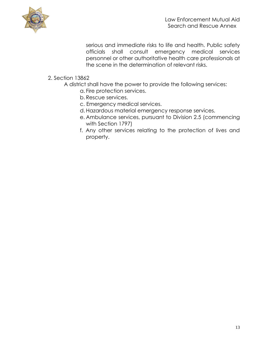

serious and immediate risks to life and health. Public safety officials shall consult emergency medical services personnel or other authoritative health care professionals at the scene in the determination of relevant risks.

#### 2. Section 13862

A district shall have the power to provide the following services:

- a. Fire protection services.
- b. Rescue services.
- c. Emergency medical services.
- d.Hazardous material emergency response services.
- e. Ambulance services, pursuant to Division 2.5 (commencing with Section 1797)
- f. Any other services relating to the protection of lives and property.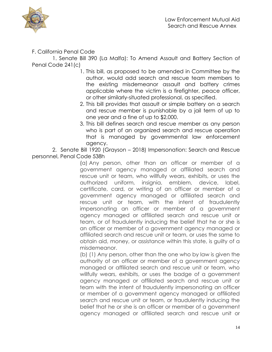

F. California Penal Code

 1. Senate Bill 390 (La Malfa): To Amend Assault and Battery Section of Penal Code 241(c)

- 1. This bill, as proposed to be amended in Committee by the author, would add search and rescue team members to the existing misdemeanor assault and battery crimes applicable where the victim is a firefighter, peace officer, or other similarly-situated professional, as specified.
- 2. This bill provides that assault or simple battery on a search and rescue member is punishable by a jail term of up to one year and a fine of up to \$2,000.
- 3. This bill defines search and rescue member as any person who is part of an organized search and rescue operation that is managed by governmental law enforcement agency.

2. Senate Bill 1920 (Grayson – 2018) Impersonation: Search and Rescue personnel, Penal Code 538h

(a) Any person, other than an officer or member of a government agency managed or affiliated search and rescue unit or team, who willfully wears, exhibits, or uses the authorized uniform, insignia, emblem, device, label, certificate, card, or writing of an officer or member of a government agency managed or affiliated search and rescue unit or team, with the intent of fraudulently impersonating an officer or member of a government agency managed or affiliated search and rescue unit or team, or of fraudulently inducing the belief that he or she is an officer or member of a government agency managed or affiliated search and rescue unit or team, or uses the same to obtain aid, money, or assistance within this state, is guilty of a misdemeanor.

(b) (1) Any person, other than the one who by law is given the authority of an officer or member of a government agency managed or affiliated search and rescue unit or team, who willfully wears, exhibits, or uses the badge of a government agency managed or affiliated search and rescue unit or team with the intent of fraudulently impersonating an officer or member of a government agency managed or affiliated search and rescue unit or team, or fraudulently inducing the belief that he or she is an officer or member of a government agency managed or affiliated search and rescue unit or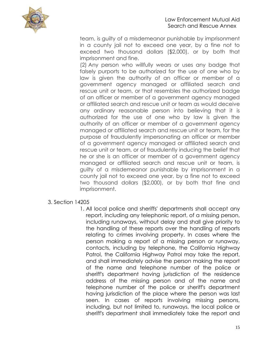

team, is guilty of a misdemeanor punishable by imprisonment in a county jail not to exceed one year, by a fine not to exceed two thousand dollars (\$2,000), or by both that imprisonment and fine.

(2) Any person who willfully wears or uses any badge that falsely purports to be authorized for the use of one who by law is given the authority of an officer or member of a government agency managed or affiliated search and rescue unit or team, or that resembles the authorized badge of an officer or member of a government agency managed or affiliated search and rescue unit or team as would deceive any ordinary reasonable person into believing that it is authorized for the use of one who by law is given the authority of an officer or member of a government agency managed or affiliated search and rescue unit or team, for the purpose of fraudulently impersonating an officer or member of a government agency managed or affiliated search and rescue unit or team, or of fraudulently inducing the belief that he or she is an officer or member of a government agency managed or affiliated search and rescue unit or team, is guilty of a misdemeanor punishable by imprisonment in a county jail not to exceed one year, by a fine not to exceed two thousand dollars (\$2,000), or by both that fine and imprisonment.

#### 3. Section 14205

1. All local police and sheriffs' departments shall accept any report, including any telephonic report, of a missing person, including runaways, without delay and shall give priority to the handling of these reports over the handling of reports relating to crimes involving property. In cases where the person making a report of a missing person or runaway, contacts, including by telephone, the California Highway Patrol, the California Highway Patrol may take the report, and shall immediately advise the person making the report of the name and telephone number of the police or sheriff's department having jurisdiction of the residence address of the missing person and of the name and telephone number of the police or sheriff's department having jurisdiction of the place where the person was last seen. In cases of reports involving missing persons, including, but not limited to, runaways, the local police or sheriff's department shall immediately take the report and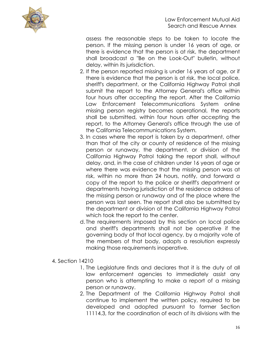

assess the reasonable steps to be taken to locate the person. If the missing person is under 16 years of age, or there is evidence that the person is at risk, the department shall broadcast a "Be on the Look-Out" bulletin, without delay, within its jurisdiction.

- 2. If the person reported missing is under 16 years of age, or if there is evidence that the person is at risk, the local police, sheriff's department, or the California Highway Patrol shall submit the report to the Attorney General's office within four hours after accepting the report. After the California Law Enforcement Telecommunications System online missing person registry becomes operational, the reports shall be submitted, within four hours after accepting the report, to the Attorney General's office through the use of the California Telecommunications System.
- 3. In cases where the report is taken by a department, other than that of the city or county of residence of the missing person or runaway, the department, or division of the California Highway Patrol taking the report shall, without delay, and, in the case of children under 16 years of age or where there was evidence that the missing person was at risk, within no more than 24 hours, notify, and forward a copy of the report to the police or sheriff's department or departments having jurisdiction of the residence address of the missing person or runaway and of the place where the person was last seen. The report shall also be submitted by the department or division of the California Highway Patrol which took the report to the center.
- d. The requirements imposed by this section on local police and sheriff's departments shall not be operative if the governing body of that local agency, by a majority vote of the members of that body, adopts a resolution expressly making those requirements inoperative.
- 4. Section 14210
	- 1. The Legislature finds and declares that it is the duty of all law enforcement agencies to immediately assist any person who is attempting to make a report of a missing person or runaway.
	- 2. The Department of the California Highway Patrol shall continue to implement the written policy, required to be developed and adopted pursuant to former Section 11114.3, for the coordination of each of its divisions with the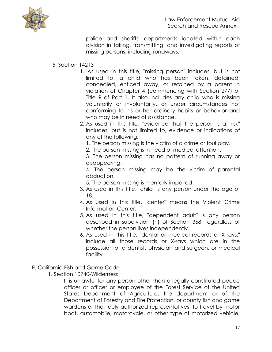

police and sheriffs' departments located within each division in taking, transmitting, and investigating reports of missing persons, including runaways.

### 5. Section 14213

- 1. As used in this title, "missing person" includes, but is not limited to, a child who has been taken, detained, concealed, enticed away, or retained by a parent in violation of Chapter 4 (commencing with Section 277) of Title 9 of Part 1. It also includes any child who is missing voluntarily or involuntarily, or under circumstances not conforming to his or her ordinary habits or behavior and who may be in need of assistance.
- 2. As used in this title, "evidence that the person is at risk" includes, but is not limited to, evidence or indications of any of the following:
	- 1. The person missing is the victim of a crime or foul play.
	- 2. The person missing is in need of medical attention.

 3. The person missing has no pattern of running away or disappearing.

 4. The person missing may be the victim of parental abduction.

- 5. The person missing is mentally impaired.
- 3. As used in this title, "child" is any person under the age of 18.
- 4. As used in this title, "center" means the Violent Crime Information Center.
- 5. As used in this title, "dependent adult" is any person described in subdivision (h) of Section 368, regardless of whether the person lives independently.
- 6. As used in this title, "dental or medical records or X-rays," include all those records or X-rays which are in the possession of a dentist, physician and surgeon, or medical facility.
- E. California Fish and Game Code
	- 1. Section 10740-Wilderness

It is unlawful for any person other than a legally constituted peace officer or officer or employee of the Forest Service of the United States Department of Agriculture, the department or of the Department of Forestry and Fire Protection, or county fish and game wardens or their duly authorized representatives, to travel by motor boat, automobile, motorcycle, or other type of motorized vehicle,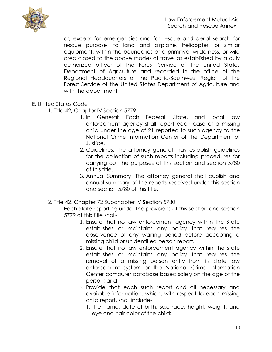

or, except for emergencies and for rescue and aerial search for rescue purpose, to land and airplane, helicopter, or similar equipment, within the boundaries of a primitive, wilderness, or wild area closed to the above modes of travel as established by a duly authorized officer of the Forest Service of the United States Department of Agriculture and recorded in the office of the Regional Headquarters of the Pacific-Southwest Region of the Forest Service of the United States Department of Agriculture and with the department.

- E. United States Code
	- 1. Title 42, Chapter IV Section 5779
		- 1. In General: Each Federal, State, and local law enforcement agency shall report each case of a missing child under the age of 21 reported to such agency to the National Crime Information Center of the Department of Justice.
		- 2. Guidelines: The attorney general may establish guidelines for the collection of such reports including procedures for carrying out the purposes of this section and section 5780 of this title.
		- 3. Annual Summary: The attorney general shall publish and annual summary of the reports received under this section and section 5780 of this title.
	- 2. Title 42, Chapter 72 Subchapter IV Section 5780

Each State reporting under the provisions of this section and section 5779 of this title shall-

- 1. Ensure that no law enforcement agency within the State establishes or maintains any policy that requires the observance of any waiting period before accepting a missing child or unidentified person report.
- 2. Ensure that no law enforcement agency within the state establishes or maintains any policy that requires the removal of a missing person entry from its state law enforcement system or the National Crime Information Center computer database based solely on the age of the person; and
- 3. Provide that each such report and all necessary and available information, which, with respect to each missing child report, shall include-
	- 1. The name, date of birth, sex, race, height, weight, and eye and hair color of the child: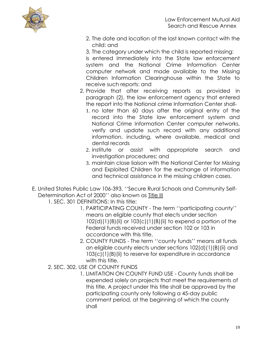





- 2. The date and location of the last known contact with the child: and
- 3. The category under which the child is reported missing:

is entered immediately into the State law enforcement system and the National Crime Information Center computer network and made available to the Missing Children Information Clearinghouse within the State to receive such reports: and

- 2. Provide that after receiving reports as provided in paragraph (2), the law enforcement agency that entered the report into the National crime Information Center shall-
	- 1. no later than 60 days after the original entry of the record into the State law enforcement system and National Crime Information Center computer networks, verify and update such record with any additional information, including, where available, medical and dental records
	- 2. institute or assist with appropriate search and investigation procedures; and
	- 3. maintain close liaison with the National Center for Missing and Exploited Children for the exchange of information and technical assistance in the missing children cases.
- E. United States Public Law 106-393, ''Secure Rural Schools and Community Self-Determination Act of 2000'' also known as Title III
	- 1. SEC. 301 DEFINITIONS: In this title:
		- 1. PARTICIPATING COUNTY The term ''participating county'' means an eligible county that elects under section 102(d)(1)(B)(ii) or 103(c)(1)(B)(ii) to expend a portion of the Federal funds received under section 102 or 103 in accordance with this title.
		- 2. COUNTY FUNDS The term ''county funds'' means all funds an eligible county elects under sections 102(d)(1)(B)(ii) and 103(c)(1)(B)(ii) to reserve for expenditure in accordance with this title.
	- 2. SEC. 302. USE OF COUNTY FUNDS
		- 1. LIMITATION ON COUNTY FUND USE County funds shall be expended solely on projects that meet the requirements of this title. A project under this title shall be approved by the participating county only following a 45-day public comment period, at the beginning of which the county shall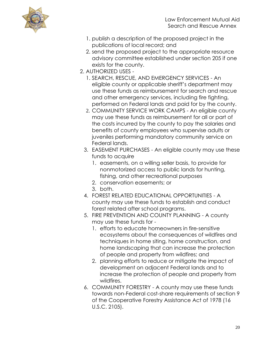

- 1. publish a description of the proposed project in the publications of local record; and
- 2. send the proposed project to the appropriate resource advisory committee established under section 205 if one exists for the county.
- 2. AUTHORIZED USES
	- 1. SEARCH, RESCUE, AND EMERGENCY SERVICES An eligible county or applicable sheriff's department may use these funds as reimbursement for search and rescue and other emergency services, including fire fighting, performed on Federal lands and paid for by the county.
	- 2. COMMUNITY SERVICE WORK CAMPS An eligible county may use these funds as reimbursement for all or part of the costs incurred by the county to pay the salaries and benefits of county employees who supervise adults or juveniles performing mandatory community service on Federal lands.
	- 3. EASEMENT PURCHASES An eligible county may use these funds to acquire
		- 1. easements, on a willing seller basis, to provide for nonmotorized access to public lands for hunting, fishing, and other recreational purposes
		- 2. conservation easements; or
		- 3. both.
	- 4. FOREST RELATED EDUCATIONAL OPPORTUNITIES A county may use these funds to establish and conduct forest related after school programs.
	- 5. FIRE PREVENTION AND COUNTY PLANNING A county may use these funds for -
		- 1. efforts to educate homeowners in fire-sensitive ecosystems about the consequences of wildfires and techniques in home siting, home construction, and home landscaping that can increase the protection of people and property from wildfires; and
		- 2. planning efforts to reduce or mitigate the impact of development on adjacent Federal lands and to increase the protection of people and property from wildfires.
	- 6. COMMUNITY FORESTRY A county may use these funds towards non-Federal cost-share requirements of section 9 of the Cooperative Forestry Assistance Act of 1978 (16 U.S.C. 2105).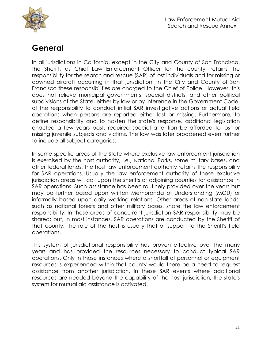

# **General**

In all jurisdictions in California, except in the City and County of San Francisco, the Sheriff, as Chief Law Enforcement Officer for the county, retains the responsibility for the search and rescue (SAR) of lost individuals and for missing or downed aircraft occurring in that jurisdiction. In the City and County of San Francisco these responsibilities are charged to the Chief of Police. However, this does not relieve municipal governments, special districts, and other political subdivisions of the State, either by law or by inference in the Government Code, of the responsibility to conduct initial SAR investigative actions or actual field operations when persons are reported either lost or missing. Furthermore, to define responsibility and to hasten the state's response, additional legislation enacted a few years past, required special attention be afforded to lost or missing juvenile subjects and victims. The law was later broadened even further to include all subject categories.

In some specific areas of the State where exclusive law enforcement jurisdiction is exercised by the host authority, i.e., National Parks, some military bases, and other federal lands, the host law enforcement authority retains the responsibility for SAR operations. Usually the law enforcement authority of these exclusive jurisdiction areas will call upon the sheriffs of adjoining counties for assistance in SAR operations. Such assistance has been routinely provided over the years but may be further based upon written Memoranda of Understanding (MOU) or informally based upon daily working relations. Other areas of non-state lands, such as national forests and other military bases, share the law enforcement responsibility. In these areas of concurrent jurisdiction SAR responsibility may be shared; but, in most instances, SAR operations are conducted by the Sheriff of that county. The role of the host is usually that of support to the Sheriff's field operations.

This system of jurisdictional responsibility has proven effective over the many years and has provided the resources necessary to conduct typical SAR operations. Only in those instances where a shortfall of personnel or equipment resources is experienced within that county would there be a need to request assistance from another jurisdiction. In these SAR events where additional resources are needed beyond the capability of the host jurisdiction, the state's system for mutual aid assistance is activated.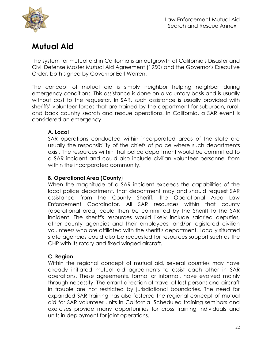

# **Mutual Aid**

The system for mutual aid in California is an outgrowth of California's Disaster and Civil Defense Master Mutual Aid Agreement (1950) and the Governor's Executive Order, both signed by Governor Earl Warren.

The concept of mutual aid is simply neighbor helping neighbor during emergency conditions. This assistance is done on a voluntary basis and is usually without cost to the requestor. In SAR, such assistance is usually provided with sheriffs' volunteer forces that are trained by the department for suburban, rural, and back country search and rescue operations. In California, a SAR event is considered an emergency.

### **A. Local**

SAR operations conducted within incorporated areas of the state are usually the responsibility of the chiefs of police where such departments exist. The resources within that police department would be committed to a SAR incident and could also include civilian volunteer personnel from within the incorporated community.

### **B. Operational Area (County**)

When the magnitude of a SAR incident exceeds the capabilities of the local police department, that department may and should request SAR assistance from the County Sheriff, the Operational Area Law Enforcement Coordinator. All SAR resources within that county (operational area) could then be committed by the Sheriff to the SAR incident. The sheriff's resources would likely include salaried deputies, other county agencies and their employees, and/or registered civilian volunteers who are affiliated with the sheriff's department. Locally situated state agencies could also be requested for resources support such as the CHP with its rotary and fixed winged aircraft.

### **C. Region**

Within the regional concept of mutual aid, several counties may have already initiated mutual aid agreements to assist each other in SAR operations. These agreements, formal or informal, have evolved mainly through necessity. The errant direction of travel of lost persons and aircraft in trouble are not restricted by jurisdictional boundaries. The need for expanded SAR training has also fostered the regional concept of mutual aid for SAR volunteer units in California. Scheduled training seminars and exercises provide many opportunities for cross training individuals and units in deployment for joint operations.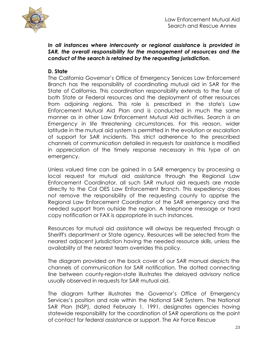

#### *In all instances where intercounty or regional assistance is provided in SAR, the overall responsibility for the management of resources and the conduct of the search is retained by the requesting jurisdiction.*

#### **D. State**

The California Governor's Office of Emergency Services Law Enforcement Branch has the responsibility of coordinating mutual aid in SAR for the State of California. This coordination responsibility extends to the fuse of both State or Federal resources and the deployment of other resources from adjoining regions. This role is prescribed in the state's Law Enforcement Mutual Aid Plan and is conducted in much the same manner as in other Law Enforcement Mutual Aid activities. *Search is an Emergency* in life threatening circumstances. For this reason, wider latitude in the mutual aid system is permitted in the evolution or escalation of support for SAR incidents. This strict adherence to the prescribed channels of communication detailed in requests for assistance is modified in appreciation of the timely response necessary in this type of an emergency.

Unless valued time can be gained in a SAR emergency by processing a local request for mutual aid assistance through the Regional Law Enforcement Coordinator, all such SAR mutual aid requests are made directly to the Cal OES Law Enforcement Branch. This expediency does not remove the responsibility of the requesting county to apprise the Regional Law Enforcement Coordinator of the SAR emergency and the needed support from outside the region. A telephone message or hard copy notification or FAX is appropriate in such instances.

Resources for mutual aid assistance will always be requested through a Sheriff's department or State agency. Resources will be selected from the nearest adjacent jurisdiction having the needed resource skills, unless the availability of the nearest team overrides this policy.

The diagram provided on the back cover of our SAR manual depicts the channels of communication for SAR notification. The dotted connecting line between county-region-state illustrates the delayed advisory notice usually observed in requests for SAR mutual aid.

The diagram further illustrates the Governor's Office of Emergency Services's position and role within the National SAR System. The National SAR Plan (NSP), dated February 1, 1991, designates agencies having statewide responsibility for the coordination of SAR operations as the point of contact for federal assistance or support. The Air Force Rescue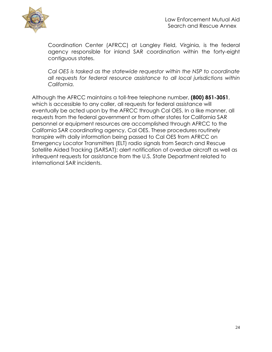

Coordination Center (AFRCC) at Langley Field, Virginia, is the federal agency responsible for inland SAR coordination within the forty-eight contiguous states.

*Cal OES is tasked as the statewide requestor within the NSP to coordinate all requests for federal resource assistance to all local jurisdictions within California.*

Although the AFRCC maintains a toll-free telephone number, **(800) 851-3051**, which is accessible to any caller, all requests for federal assistance will eventually be acted upon by the AFRCC through Cal OES. In a like manner, all requests from the federal government or from other states for California SAR personnel or equipment resources are accomplished through AFRCC to the California SAR coordinating agency, Cal OES. These procedures routinely transpire with daily information being passed to Cal OES from AFRCC on Emergency Locator Transmitters (ELT) radio signals from Search and Rescue Satellite Aided Tracking (SARSAT); alert notification of overdue aircraft as well as infrequent requests for assistance from the U.S. State Department related to international SAR incidents.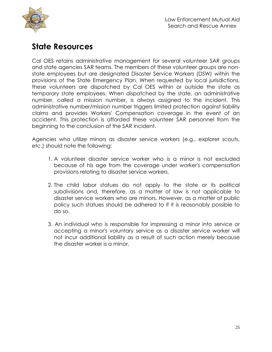

# **State Resources**

Cal OES retains administrative management for several volunteer SAR groups and state agencies SAR teams. The members of these volunteer groups are nonstate employees but are designated Disaster Service Workers (DSW) within the provisions of the State Emergency Plan. When requested by local jurisdictions, these volunteers are dispatched by Cal OES within or outside the state as temporary state employees. When dispatched by the state, an administrative number, called a mission number, is always assigned to the incident. This administrative number/mission number triggers limited protection against liability claims and provides Workers' Compensation coverage in the event of an accident. This protection is afforded these volunteer SAR personnel from the beginning to the conclusion of the SAR incident.

Agencies who utilize minors as disaster service workers (e.g., explorer scouts, etc.) should note the following:

- 1. A volunteer disaster service worker who is a minor is not excluded because of his age from the coverage under worker's compensation provisions relating to disaster service workers.
- 2. The child labor statues do not apply to the state or its political subdivisions and, therefore, as a matter of law is not applicable to disaster service workers who are minors. However, as a matter of public policy such statues should be adhered to if it is reasonably possible to do so.
- 3. An individual who is responsible for impressing a minor into service or accepting a minor's voluntary service as a disaster service worker will not incur additional liability as a result of such action merely because the disaster worker is a minor.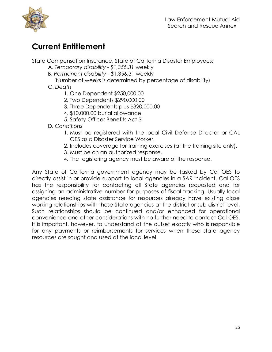

# **Current Entitlement**

State Compensation Insurance, State of California Disaster Employees:

- A. *Temporary disability - \$1,356.31* weekly
- B. *Permanent disability - \$*1,356.31 weekly
- (Number of weeks is determined by percentage of disability)
- C. *Death*
	- 1. One Dependent \$250,000.00
	- 2. Two Dependents \$290,000.00
	- 3. Three Dependents plus \$320,000.00
	- 4. \$10,000.00 burial allowance
	- 5. Safety Officer Benefits Act \$
- D. *Conditions*
	- 1. Must be registered with the local Civil Defense Director or CAL OES as a Disaster Service Worker.
	- 2. Includes coverage for training exercises (at the training site only).
	- 3. Must be on an authorized response.
	- 4. The registering agency must be aware of the response.

Any State of California government agency may be tasked by Cal OES to directly assist in or provide support to local agencies in a SAR incident. Cal OES has the responsibility for contacting all State agencies requested and for assigning an administrative number for purposes of fiscal tracking. Usually local agencies needing state assistance for resources already have existing close working relationships with these State agencies at the district or sub-district level. Such relationships should be continued and/or enhanced for operational convenience and other considerations with no further need to contact Cal OES. It is important, however, to understand at the outset exactly who is responsible for any payments or reimbursements for services when these state agency resources are sought and used at the local level.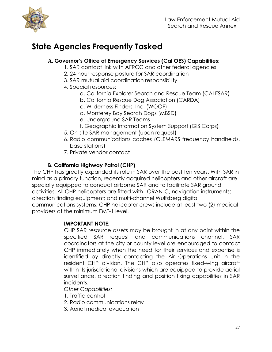

# **State Agencies Frequently Tasked**

# **A. Governor's Office of Emergency Services (Cal OES) Capabilities:**

- 1. SAR contact link with AFRCC and other federal agencies
- 2. 24-hour response posture for SAR coordination
- 3. SAR mutual aid coordination responsibility
- 4. Special resources:
	- a. California Explorer Search and Rescue Team (CALESAR)
	- b. California Rescue Dog Association (CARDA)
	- c. Wilderness Finders, Inc. (WOOF)
	- d. Monterey Bay Search Dogs (MBSD)
	- e. Underground SAR Teams
	- f. Geographic Information System Support (GIS Corps)
- 5. On-site SAR management (upon request)
- 6. Radio communications caches (CLEMARS frequency handhelds, base stations)
- 7. Private vendor contact

### **B. California Highway Patrol (CHP)**

The CHP has greatly expanded its role in SAR over the past ten years. With SAR in mind as a primary function, recently acquired helicopters and other aircraft are specially equipped to conduct airborne SAR and to facilitate SAR ground activities. All CHP helicopters are fitted with LORAN-C, navigation instruments; direction finding equipment; and multi-channel Wulfsberg digital communications systems. CHP helicopter crews include at least two (2) medical providers at the minimum EMT-1 level.

#### **IMPORTANT NOTE:**

CHP SAR resource assets may be brought in at any point within the specified SAR request and communications channel. SAR coordinators at the city or county level are encouraged to contact CHP immediately when the need for their services and expertise is identified by directly contacting the Air Operations Unit in the resident CHP division. The CHP also operates fixed-wing aircraft within its jurisdictional divisions which are equipped to provide aerial surveillance, direction finding and position fixing capabilities in SAR incidents.

- *Other Capabilities:*
- 1. Traffic control
- 2. Radio communications relay
- 3. Aerial medical evacuation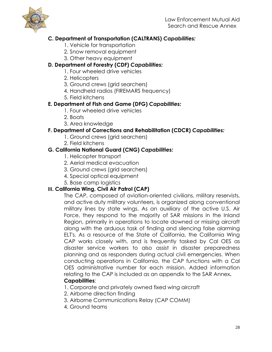

# **C. Department of Transportation (CALTRANS)** *Capabilities:*

- 1. Vehicle for transportation
- 2. Snow removal equipment
- 3. Other heavy equipment

### **D. Department of Forestry (CDF)** *Capabilities:*

- 1. Four wheeled drive vehicles
- 2. Helicopters
- 3. Ground crews (grid searchers)
- 4. Handheld radios (FIREMARS frequency)
- 5. Field kitchens

#### **E. Department of Fish and Game (DFG)** *Capabilities:*

- 1. Four wheeled drive vehicles
- 2. Boats
- 3. Area knowledge

# **F. Department of Corrections and Rehabilitation (CDCR)** *Capabilities:*

- 1. Ground crews (grid searchers)
- 2. Field kitchens

### **G. California National Guard (CNG)** *Capabilities:*

- 1. Helicopter transport
- 2. Aerial medical evacuation
- 3. Ground crews (grid searchers)
- 4. Special optical equipment
- 5. Base camp logistics

### **H. California Wing, Civil Air Patrol (CAP)**

The CAP, composed of aviation-oriented civilians, military reservists, and active duty military volunteers, is organized along conventional military lines by state wings. As an auxiliary of the active U.S. Air Force, they respond to the majority of SAR missions in the Inland Region, primarily in operations to locate downed or missing aircraft along with the arduous task of finding and silencing false alarming ELT's. As a resource of the State of California, the California Wing CAP works closely with, and is frequently tasked by Cal OES as disaster service workers to also assist in disaster preparedness planning and as responders during actual civil emergencies. When conducting operations in California, the CAP functions with a Cal OES administrative number for each mission. Added information relating to the CAP is included as an appendix to the SAR Annex**.** 

#### **Capabilities**:

- 1. Corporate and privately owned fixed wing aircraft
- 2. Airborne direction finding
- 3. Airborne Communications Relay (CAP COMM)
- 4. Ground teams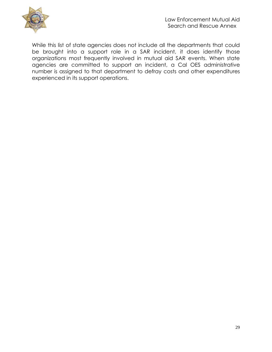

While this list of state agencies does not include all the departments that could be brought into a support role in a SAR incident, it does identify those organizations most frequently involved in mutual aid SAR events. When state agencies are committed to support an incident, a Cal OES administrative number is assigned to that department to defray costs and other expenditures experienced in its support operations.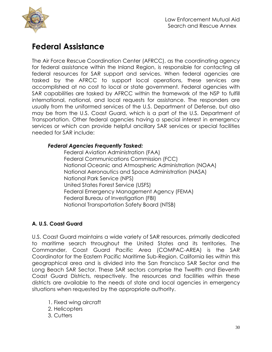

# **Federal Assistance**

The Air Force Rescue Coordination Center (AFRCC), as the coordinating agency for federal assistance within the Inland Region, is responsible for contacting all federal resources for SAR support and services. When federal agencies are tasked by the AFRCC to support local operations, these services are accomplished at no cost to local or state government. Federal agencies with SAR capabilities are tasked by AFRCC within the framework of the NSP to fulfill international, national, and local requests for assistance. The responders are usually from the uniformed services of the U.S. Department of Defense, but also may be from the U.S. Coast Guard, which is a part of the U.S. Department of Transportation. Other federal agencies having a special interest in emergency services or which can provide helpful ancillary SAR services or special facilities needed for SAR include:

#### *Federal Agencies Frequently Tasked:*

Federal Aviation Administration (FAA) Federal Communications Commission (FCC) National Oceanic and Atmospheric Administration (NOAA) National Aeronautics and Space Administration (NASA) National Park Service (NPS) United States Forest Service (USFS) Federal Emergency Management Agency (FEMA) Federal Bureau of Investigation (FBI) National Transportation Safety Board (NTSB)

# **A. U.S. Coast Guard**

U.S. Coast Guard maintains a wide variety of SAR resources, primarily dedicated to maritime search throughout the United States and its territories. The Commander, Coast Guard Pacific Area (COMPAC-AREA) is the SAR Coordinator for the Eastern Pacific Maritime Sub-Region. California lies within this geographical area and is divided into the San Francisco SAR Sector and the Long Beach SAR Sector. These SAR sectors comprise the Twelfth and Eleventh Coast Guard Districts, respectively. The resources and facilities within these districts are available to the needs of state and local agencies in emergency situations when requested by the appropriate authority.

- 1. Fixed wing aircraft
- 2. Helicopters
- 3. Cutters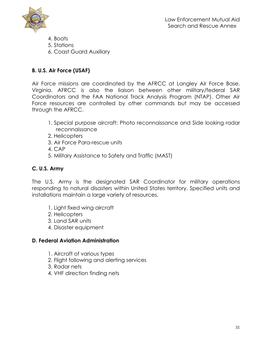

4. Boats 5. Stations 6. Coast Guard Auxiliary

# **B. U.S. Air Force (USAF)**

Air Force missions are coordinated by the AFRCC at Langley Air Force Base, Virginia. AFRCC is also the liaison between other military/federal SAR Coordinators and the FAA National Track Analysis Program (NTAP). Other Air Force resources are controlled by other commands but may be accessed through the AFRCC.

- 1. Special purpose aircraft: Photo reconnaissance and Side looking radar reconnaissance
- 2. Helicopters
- 3. Air Force Para-rescue units
- 4. CAP
- 5. Military Assistance to Safety and Traffic (MAST)

### **C. U.S. Army**

The U.S. Army is the designated SAR Coordinator for military operations responding to natural disasters within United States territory. Specified units and installations maintain a large variety of resources.

- 1. Light fixed wing aircraft
- 2. Helicopters
- 3. Land SAR units
- 4. Disaster equipment

#### **D. Federal Aviation Administration**

- 1. Aircraft of various types
- 2. Flight following and alerting services
- 3. Radar nets
- 4. VHF direction finding nets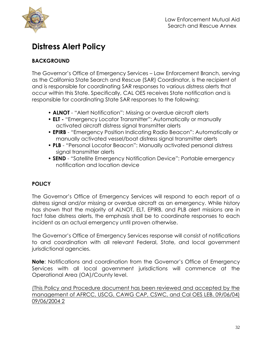

# **Distress Alert Policy**

# **BACKGROUND**

The Governor's Office of Emergency Services – Law Enforcement Branch, serving as the California State Search and Rescue (SAR) Coordinator, is the recipient of and is responsible for coordinating SAR responses to various distress alerts that occur within this State. Specifically, CAL OES receives State notification and is responsible for coordinating State SAR responses to the following:

- **ALNOT**  "Alert Notification": Missing or overdue aircraft alerts
- **ELT -** "Emergency Locator Transmitter": Automatically or manually activated aircraft distress signal transmitter alerts
- **EPIRB**  "Emergency Position Indicating Radio Beacon": Automatically or manually activated vessel/boat distress signal transmitter alerts
- **PLB**  "Personal Locator Beacon": Manually activated personal distress signal transmitter alerts
- **SEND** "Satellite Emergency Notification Device": Portable emergency notification and location device

### **POLICY**

The Governor's Office of Emergency Services will respond to each report of a distress signal and/or missing or overdue aircraft as an emergency. While history has shown that the majority of ALNOT, ELT, EPIRB, and PLB alert missions are in fact false distress alerts, the emphasis shall be to coordinate responses to each incident as an actual emergency until proven otherwise.

The Governor's Office of Emergency Services response will consist of notifications to and coordination with all relevant Federal, State, and local government jurisdictional agencies.

**Note**: Notifications and coordination from the Governor's Office of Emergency Services with all local government jurisdictions will commence at the Operational Area (OA)/County level.

(This Policy and Procedure document has been reviewed and accepted by the management of AFRCC, USCG, CAWG CAP, CSWC, and Cal OES LEB. 09/06/04) 09/06/2004 2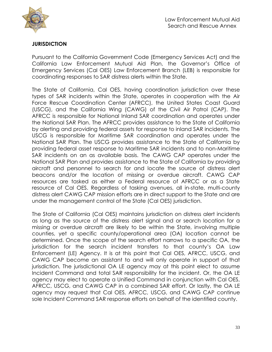

### **JURISDICTION**

Pursuant to the California Government Code (Emergency Services Act) and the California Law Enforcement Mutual Aid Plan, the Governor's Office of Emergency Services (Cal OES) Law Enforcement Branch (LEB) is responsible for coordinating responses to SAR distress alerts within the State.

The State of California, Cal OES, having coordination jurisdiction over these types of SAR incidents within the State, operates in cooperation with the Air Force Rescue Coordination Center (AFRCC), the United States Coast Guard (USCG), and the California Wing (CAWG) of the Civil Air Patrol (CAP). The AFRCC is responsible for National Inland SAR coordination and operates under the National SAR Plan. The AFRCC provides assistance to the State of California by alerting and providing federal assets for response to inland SAR incidents. The USCG is responsible for Maritime SAR coordination and operates under the National SAR Plan. The USCG provides assistance to the State of California by providing federal asset response to Maritime SAR incidents and to non-Maritime SAR incidents on an as available basis. The CAWG CAP operates under the National SAR Plan and provides assistance to the State of California by providing aircraft and personnel to search for and locate the source of distress alert beacons and/or the location of missing or overdue aircraft. CAWG CAP resources are tasked as either a Federal resource of AFRCC or as a State resource of Cal OES. Regardless of tasking avenues, all in-state, multi-county distress alert CAWG CAP mission efforts are in direct support to the State and are under the management control of the State (Cal OES) jurisdiction.

The State of California (Cal OES) maintains jurisdiction on distress alert incidents as long as the source of the distress alert signal and or search location for a missing or overdue aircraft are likely to be within the State, involving multiple counties, yet a specific county/operational area (OA) location cannot be determined. Once the scope of the search effort narrows to a specific OA, the jurisdiction for the search incident transfers to that county's OA Law Enforcement (LE) Agency. It is at this point that Cal OES, AFRCC, USCG, and CAWG CAP become an assistant to and will only operate in support of that jurisdiction. The jurisdictional OA LE agency may at this point elect to assume Incident Command and total SAR responsibility for the incident. Or, the OA LE agency may elect to operate a Unified Command in conjunction with Cal OES, AFRCC, USCG, and CAWG CAP in a combined SAR effort. Or lastly, the OA LE agency may request that Cal OES, AFRCC, USCG, and CAWG CAP continue sole Incident Command SAR response efforts on behalf of the identified county.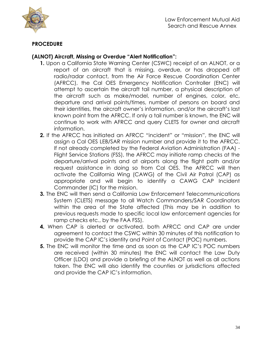

### **PROCEDURE**

# **(ALNOT) Aircraft, Missing or Overdue "Alert Notification":**

- **1.** Upon a California State Warning Center (CSWC) receipt of an ALNOT, or a report of an aircraft that is missing, overdue, or has dropped off radio/radar contact, from the Air Force Rescue Coordination Center (AFRCC), the Cal OES Emergency Notification Controller (ENC) will attempt to ascertain the aircraft tail number, a physical description of the aircraft such as make/model, number of engines, color, etc, departure and arrival points/times, number of persons on board and their identities, the aircraft owner's information, and/or the aircraft's last known point from the AFRCC. If only a tail number is known, the ENC will continue to work with AFRCC and query CLETS for owner and aircraft information.
- **2.** If the AFRCC has initiated an AFRCC "incident" or "mission", the ENC will assign a Cal OES LEB/SAR mission number and provide it to the AFRCC. If not already completed by the Federal Aviation Administration (FAA) - Flight Service Stations (FSS), the AFRCC may initiate ramp checks at the departure/arrival points and at airports along the flight path and/or request assistance in doing so from Cal OES. The AFRCC will then activate the California Wing (CAWG) of the Civil Air Patrol (CAP) as appropriate and will begin to identify a CAWG CAP Incident Commander (IC) for the mission.
- **3.** The ENC will then send a California Law Enforcement Telecommunications System (CLETS) message to all Watch Commanders/SAR Coordinators within the area of the State affected (This may be in addition to previous requests made to specific local law enforcement agencies for ramp checks etc., by the FAA FSS).
- **4.** When CAP is alerted or activated, both AFRCC and CAP are under agreement to contact the CSWC within 30 minutes of this notification to provide the CAP IC's identity and Point of Contact (POC) numbers.
- **5.** The ENC will monitor the time and as soon as the CAP IC's POC numbers are received (within 30 minutes) the ENC will contact the Law Duty Officer (LDO) and provide a briefing of the ALNOT as well as all actions taken. The ENC will also identify the counties or jurisdictions affected and provide the CAP IC's information.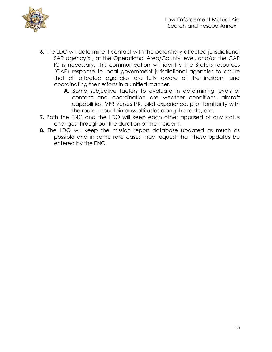

- **6.** The LDO will determine if contact with the potentially affected jurisdictional SAR agency(s), at the Operational Area/County level, and/or the CAP IC is necessary. This communication will identify the State's resources (CAP) response to local government jurisdictional agencies to assure that all affected agencies are fully aware of the incident and coordinating their efforts in a unified manner.
	- **A.** Some subjective factors to evaluate in determining levels of contact and coordination are weather conditions, aircraft capabilities, VFR verses IFR, pilot experience, pilot familiarity with the route, mountain pass altitudes along the route, etc.
- **7.** Both the ENC and the LDO will keep each other apprised of any status changes throughout the duration of the incident.
- **8.** The LDO will keep the mission report database updated as much as possible and in some rare cases may request that these updates be entered by the ENC.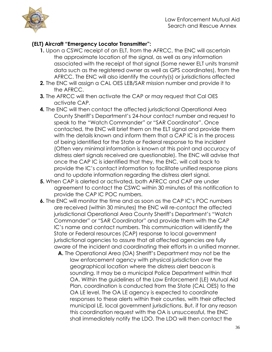

# **(ELT) Aircraft "Emergency Locator Transmitter":**

- **1.** Upon a CSWC receipt of an ELT, from the AFRCC, the ENC will ascertain the approximate location of the signal, as well as any information associated with the receipt of that signal (Some newer ELT units transmit data such as the registered owner as well as GPS coordinates), from the AFRCC. The ENC will also identify the county(s) or jurisdictions affected
- **2.** The ENC will assign a CAL OES LEB/SAR mission number and provide it to the AFRCC.
- **3.** The AFRCC will then activate the CAP or may request that Cal OES activate CAP.
- **4.** The ENC will then contact the affected jurisdictional Operational Area County Sheriff's Department's 24-hour contact number and request to speak to the "Watch Commander" or "SAR Coordinator". Once contacted, the ENC will brief them on the ELT signal and provide them with the details known and inform them that a CAP IC is in the process of being identified for the State or Federal response to the incident (Often very minimal information is known at this point and accuracy of distress alert signals received are questionable). The ENC will advise that once the CAP IC is identified that they, the ENC, will call back to provide the IC's contact information to facilitate unified response plans and to update information regarding the distress alert signal.
- **5.** When CAP is alerted or activated, both AFRCC and CAP are under agreement to contact the CSWC within 30 minutes of this notification to provide the CAP IC POC numbers.
- **6.** The ENC will monitor the time and as soon as the CAP IC's POC numbers are received (within 30 minutes) the ENC will re-contact the affected jurisdictional Operational Area County Sheriff's Department's "Watch Commander" or "SAR Coordinator" and provide them with the CAP IC's name and contact numbers. This communication will identify the State or Federal resources (CAP) response to local government jurisdictional agencies to assure that all affected agencies are fully aware of the incident and coordinating their efforts in a unified manner.
	- **A.** The Operational Area (OA) Sheriff's Department may not be the law enforcement agency with physical jurisdiction over the geographical location where the distress alert beacon is sounding. It may be a municipal Police Department within that OA. Within the guidelines of the Law Enforcement (LE) Mutual Aid Plan, coordination is conducted from the State (CAL OES) to the OA LE level. The OA LE agency is expected to coordinate responses to these alerts within their counties, with their affected municipal LE, local government jurisdictions. But, if for any reason this coordination request with the OA is unsuccessful, the ENC shall immediately notify the LDO. The LDO will then contact the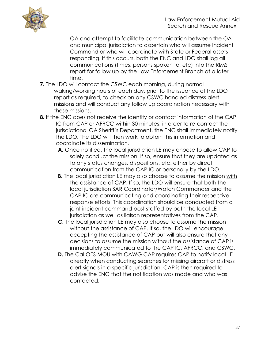

OA and attempt to facilitate communication between the OA and municipal jurisdiction to ascertain who will assume Incident Command or who will coordinate with State or Federal assets responding. If this occurs, both the ENC and LDO shall log all communications (times, persons spoken to, etc) into the RIMS report for follow up by the Law Enforcement Branch at a later time.

- **7.** The LDO will contact the CSWC each morning, during normal waking/working hours of each day, prior to the issuance of the LDO report as required, to check on any CSWC handled distress alert missions and will conduct any follow up coordination necessary with these missions.
- **8.** If the ENC does not receive the identity or contact information of the CAP IC from CAP or AFRCC within 30 minutes, in order to re-contact the jurisdictional OA Sheriff's Department, the ENC shall immediately notify the LDO. The LDO will then work to obtain this information and coordinate its dissemination.
	- **A.** Once notified, the local jurisdiction LE may choose to allow CAP to solely conduct the mission. If so, ensure that they are updated as to any status changes, dispositions, etc. either by direct communication from the CAP IC or personally by the LDO.
	- **B.** The local jurisdiction LE may also choose to assume the mission with the assistance of CAP. If so, the LDO will ensure that both the local jurisdiction SAR Coordinator/Watch Commander and the CAP IC are communicating and coordinating their respective response efforts. This coordination should be conducted from a joint incident command post staffed by both the local LE jurisdiction as well as liaison representatives from the CAP.
	- **C.** The local jurisdiction LE may also choose to assume the mission without the assistance of CAP. If so, the LDO will encourage accepting the assistance of CAP but will also ensure that any decisions to assume the mission without the assistance of CAP is immediately communicated to the CAP IC, AFRCC, and CSWC.
	- **D.** The Cal OES MOU with CAWG CAP requires CAP to notify local LE directly when conducting searches for missing aircraft or distress alert signals in a specific jurisdiction. CAP is then required to advise the ENC that the notification was made and who was contacted.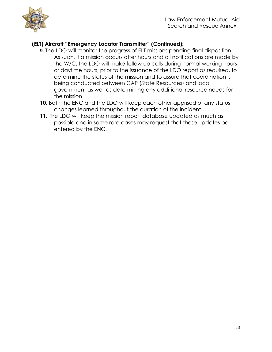

# **(ELT) Aircraft "Emergency Locator Transmitter" (Continued):**

- **9.** The LDO will monitor the progress of ELT missions pending final disposition. As such, if a mission occurs after hours and all notifications are made by the W/C, the LDO will make follow up calls during normal working hours or daytime hours, prior to the issuance of the LDO report as required, to determine the status of the mission and to assure that coordination is being conducted between CAP (State Resources) and local government as well as determining any additional resource needs for the mission
- **10.** Both the ENC and the LDO will keep each other apprised of any status changes learned throughout the duration of the incident.
- **11.** The LDO will keep the mission report database updated as much as possible and in some rare cases may request that these updates be entered by the ENC.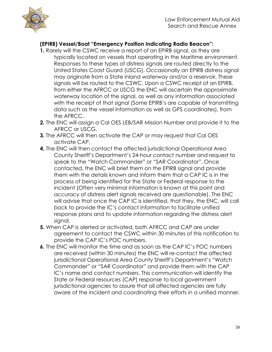

### **(EPIRB) Vessel/Boat "Emergency Position Indicating Radio Beacon":**

- **1.** Rarely will the CSWC receive a report of an EPIRB signal, as they are typically located on vessels that operating in the Maritime environment. Responses to these types of distress signals are routed directly to the United States Coast Guard (USCG). Occasionally an EPIRB distress signal may originate from a State inland waterway and/or a reservoir. These signals will be routed to the CSWC. Upon a CSWC receipt of an EPIRB, from either the AFRCC or USCG the ENC will ascertain the approximate waterway location of the signal, as well as any information associated with the receipt of that signal (Some EPIRB's are capable of transmitting data such as the vessel information as well as GPS coordinates), from the AFRCC.
- **2.** The ENC will assign a Cal OES LEB/SAR Mission Number and provide it to the AFRCC or USCG.
- **3.** The AFRCC will then activate the CAP or may request that Cal OES activate CAP.
- **4.** The ENC will then contact the affected jurisdictional Operational Area County Sheriff's Department's 24-hour contact number and request to speak to the "Watch Commander" or "SAR Coordinator". Once contacted, the ENC will brief them on the EPIRB signal and provide them with the details known and inform them that a CAP IC is in the process of being identified for the State or Federal response to the incident (Often very minimal information is known at this point and accuracy of distress alert signals received are questionable). The ENC will advise that once the CAP IC is identified, that they, the ENC, will call back to provide the IC's contact information to facilitate unified response plans and to update information regarding the distress alert sianal.
- **5.** When CAP is alerted or activated, both AFRCC and CAP are under agreement to contact the CSWC within 30 minutes of this notification to provide the CAP IC's POC numbers.
- **6.** The ENC will monitor the time and as soon as the CAP IC's POC numbers are received (within 30 minutes) the ENC will re-contact the affected jurisdictional Operational Area County Sheriff's Department's "Watch Commander" or "SAR Coordinator" and provide them with the CAP IC's name and contact numbers. This communication will identify the State or Federal resources (CAP) response to local government jurisdictional agencies to assure that all affected agencies are fully aware of the incident and coordinating their efforts in a unified manner.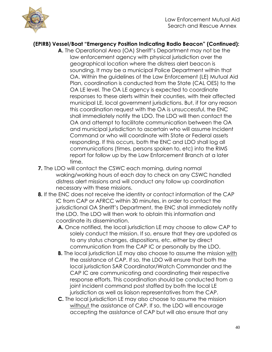

### **(EPIRB) Vessel/Boat "Emergency Position Indicating Radio Beacon" (Continued):**

- **A.** The Operational Area (OA) Sheriff's Department may not be the law enforcement agency with physical jurisdiction over the geographical location where the distress alert beacon is sounding. It may be a municipal Police Department within that OA. Within the guidelines of the Law Enforcement (LE) Mutual Aid Plan, coordination is conducted from the State (CAL OES) to the OA LE level. The OA LE agency is expected to coordinate responses to these alerts within their counties, with their affected municipal LE, local government jurisdictions. But, if for any reason this coordination request with the OA is unsuccessful, the ENC shall immediately notify the LDO. The LDO will then contact the OA and attempt to facilitate communication between the OA and municipal jurisdiction to ascertain who will assume Incident Command or who will coordinate with State or Federal assets responding. If this occurs, both the ENC and LDO shall log all communications (times, persons spoken to, etc) into the RIMS report for follow up by the Law Enforcement Branch at a later time.
- **7.** The LDO will contact the CSWC each morning, during normal waking/working hours of each day to check on any CSWC handled distress alert missions and will conduct any follow up coordination necessary with these missions.
- **8.** If the ENC does not receive the identity or contact information of the CAP IC from CAP or AFRCC within 30 minutes, in order to contact the jurisdictional OA Sheriff's Department, the ENC shall immediately notify the LDO. The LDO will then work to obtain this information and coordinate its dissemination.
	- **A.** Once notified, the local jurisdiction LE may choose to allow CAP to solely conduct the mission. If so, ensure that they are updated as to any status changes, dispositions, etc. either by direct communication from the CAP IC or personally by the LDO.
	- **B.** The local jurisdiction LE may also choose to assume the mission with the assistance of CAP. If so, the LDO will ensure that both the local jurisdiction SAR Coordinator/Watch Commander and the CAP IC are communicating and coordinating their respective response efforts. This coordination should be conducted from a joint incident command post staffed by both the local LE jurisdiction as well as liaison representatives from the CAP.
	- **C.** The local jurisdiction LE may also choose to assume the mission without the assistance of CAP. If so, the LDO will encourage accepting the assistance of CAP but will also ensure that any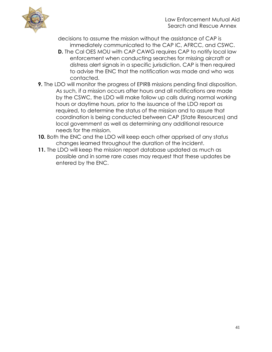

decisions to assume the mission without the assistance of CAP is immediately communicated to the CAP IC, AFRCC, and CSWC.

- **D.** The Cal OES MOU with CAP CAWG requires CAP to notify local law enforcement when conducting searches for missing aircraft or distress alert signals in a specific jurisdiction. CAP is then required to advise the ENC that the notification was made and who was contacted.
- **9.** The LDO will monitor the progress of EPIRB missions pending final disposition. As such, if a mission occurs after hours and all notifications are made by the CSWC, the LDO will make follow up calls during normal working hours or daytime hours, prior to the issuance of the LDO report as required, to determine the status of the mission and to assure that coordination is being conducted between CAP (State Resources) and local government as well as determining any additional resource needs for the mission.
- **10.** Both the ENC and the LDO will keep each other apprised of any status changes learned throughout the duration of the incident.
- **11.** The LDO will keep the mission report database updated as much as possible and in some rare cases may request that these updates be entered by the ENC.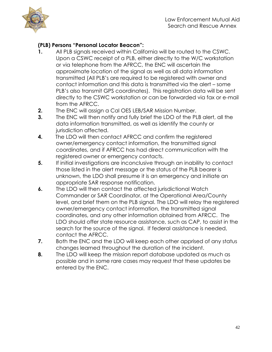

# **(PLB) Persons "Personal Locator Beacon":**

- **1.** All PLB signals received within California will be routed to the CSWC. Upon a CSWC receipt of a PLB, either directly to the W/C workstation or via telephone from the AFRCC, the ENC will ascertain the approximate location of the signal as well as all data information transmitted (All PLB's are required to be registered with owner and contact information and this data is transmitted via the alert – some PLB's also transmit GPS coordinates). This registration data will be sent directly to the CSWC workstation or can be forwarded via fax or e-mail from the AFRCC.
- **2.** The ENC will assign a Cal OES LEB/SAR Mission Number.
- **3.** The ENC will then notify and fully brief the LDO of the PLB alert, all the data information transmitted, as well as identify the county or jurisdiction affected.
- **4.** The LDO will then contact AFRCC and confirm the registered owner/emergency contact information, the transmitted signal coordinates, and if AFRCC has had direct communication with the registered owner or emergency contacts.
- **5.** If initial investigations are inconclusive through an inability to contact those listed in the alert message or the status of the PLB bearer is unknown, the LDO shall presume it is an emergency and initiate an appropriate SAR response notification.
- **6.** The LDO will then contact the affected jurisdictional Watch Commander or SAR Coordinator, at the Operational Area/County level, and brief them on the PLB signal. The LDO will relay the registered owner/emergency contact information, the transmitted signal coordinates, and any other information obtained from AFRCC. The LDO should offer state resource assistance, such as CAP, to assist in the search for the source of the signal. If federal assistance is needed, contact the AFRCC.
- **7.** Both the ENC and the LDO will keep each other apprised of any status changes learned throughout the duration of the incident.
- **8.** The LDO will keep the mission report database updated as much as possible and in some rare cases may request that these updates be entered by the ENC.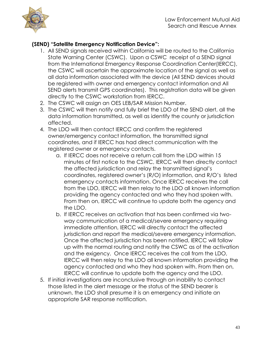

# **(SEND) "Satellite Emergency Notification Device":**

- 1. All SEND signals received within California will be routed to the California State Warning Center (CSWC). Upon a CSWC receipt of a SEND signal from the International Emergency Response Coordination Center(IERCC), the CSWC will ascertain the approximate location of the signal as well as all data information associated with the device (All SEND devices should be registered with owner and emergency contact information and All SEND alerts transmit GPS coordinates). This registration data will be given directly to the CSWC workstation from IERCC.
- 2. The CSWC will assign an OES LEB/SAR Mission Number.
- 3. The CSWC will then notify and fully brief the LDO of the SEND alert, all the data information transmitted, as well as identify the county or jurisdiction affected.
- 4. The LDO will then contact IERCC and confirm the registered owner/emergency contact information, the transmitted signal coordinates, and if IERCC has had direct communication with the registered owner or emergency contacts.
	- a. If IERCC does not receive a return call from the LDO within 15 minutes of first notice to the CSWC, IERCC will then directly contact the affected jurisdiction and relay the transmitted signal's coordinates, registered owner's (R/O) information, and R/O's listed emergency contacts information. Once IERCC receives the call from the LDO, IERCC will then relay to the LDO all known information providing the agency contacted and who they had spoken with. From then on, IERCC will continue to update both the agency and the LDO.
	- b. If IERCC receives an activation that has been confirmed via twoway communication of a medical/severe emergency requiring immediate attention, IERCC will directly contact the affected jurisdiction and report the medical/severe emergency information. Once the affected jurisdiction has been notified, IERCC will follow up with the normal routing and notify the CSWC as of the activation and the exigency. Once IERCC receives the call from the LDO, IERCC will then relay to the LDO all known information providing the agency contacted and who they had spoken with. From then on, IERCC will continue to update both the agency and the LDO.
- 5. If initial investigations are inconclusive through an inability to contact those listed in the alert message or the status of the SEND bearer is unknown, the LDO shall presume it is an emergency and initiate an appropriate SAR response notification.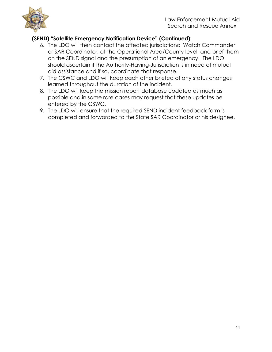

# **(SEND) "Satellite Emergency Notification Device" (Continued):**

- 6. The LDO will then contact the affected jurisdictional Watch Commander or SAR Coordinator, at the Operational Area/County level, and brief them on the SEND signal and the presumption of an emergency. The LDO should ascertain if the Authority-Having-Jurisdiction is in need of mutual aid assistance and if so, coordinate that response.
- 7. The CSWC and LDO will keep each other briefed of any status changes learned throughout the duration of the incident.
- 8. The LDO will keep the mission report database updated as much as possible and in some rare cases may request that these updates be entered by the CSWC.
- 9. The LDO will ensure that the required SEND incident feedback form is completed and forwarded to the State SAR Coordinator or his designee.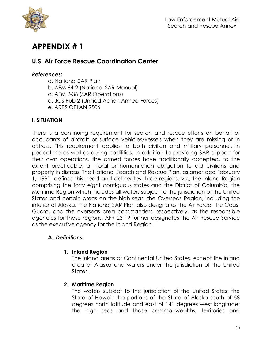

# **APPENDIX # 1**

# **U.S. Air Force Rescue Coordination Center**

#### *References:*

- a. National SAR Plan
- b. AFM 64-2 (National SAR Manual)
- c. AFM 2-36 (SAR Operations)
- d. JCS Pub 2 (Unified Action Armed Forces)
- e. ARRS OPLAN 9506

# **I. SITUATION**

There is a continuing requirement for search and rescue efforts on behalf of occupants of aircraft or surface vehicles/vessels when they are missing or in distress. This requirement applies to both civilian and military personnel, in peacetime as well as during hostilities. In addition to providing SAR support for their own operations, the armed forces have traditionally accepted, to the extent practicable, a moral or humanitarian obligation to aid civilians and property in distress. The National Search and Rescue Plan, as amended February 1, 1991, defines this need and delineates three regions, viz., the Inland Region comprising the forty eight contiguous states and the District of Columbia, the Maritime Region which includes all waters subject to the jurisdiction of the United States and certain areas on the high seas, the Overseas Region, including the interior of Alaska. The National SAR Plan also designates the Air Force, the Coast Guard, and the overseas area commanders, respectively, as the responsible agencies for these regions. AFR 23-19 further designates the Air Rescue Service as the executive agency for the Inland Region.

### **A.** *Definitions:*

#### **1. Inland Region**

The inland areas of Continental United States, except the inland area of Alaska and waters under the jurisdiction of the United States.

### **2. Maritime Region**

The waters subject to the jurisdiction of the United States; the State of Hawaii; the portions of the State of Alaska south of 58 degrees north latitude and east of 141 degrees west longitude; the high seas and those commonwealths, territories and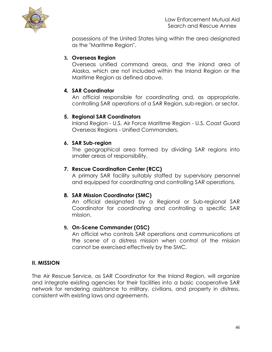

possessions of the United States lying within the area designated as the "Maritime Region".

#### **3. Overseas Region**

Overseas unified command areas, and the inland area of Alaska, which are not included within the Inland Region or the Maritime Region as defined above.

#### **4. SAR Coordinator**

An official responsible for coordinating and, as appropriate, controlling SAR operations of a SAR Region, sub-region, or sector.

#### **5. Regional SAR Coordinators**

Inland Region - U.S. Air Force Maritime Region - U.S. Coast Guard Overseas Regions - Unified Commanders.

#### **6. SAR Sub-region**

The geographical area formed by dividing SAR regions into smaller areas of responsibility.

#### **7. Rescue Coordination Center (RCC)**

A primary SAR facility suitably staffed by supervisory personnel and equipped for coordinating and controlling SAR operations.

### **8. SAR Mission Coordinator (SMC)**

An official designated by a Regional or Sub-regional SAR Coordinator for coordinating and controlling a specific SAR mission.

#### **9. On-Scene Commander (OSC)**

An official who controls SAR operations and communications at the scene of a distress mission when control of the mission cannot be exercised effectively by the SMC.

#### **II. MISSION**

The Air Rescue Service, as SAR Coordinator for the Inland Region, will organize and integrate existing agencies for their facilities into a basic cooperative SAR network for rendering assistance to military, civilians, and property in distress, consistent with existing laws and agreements.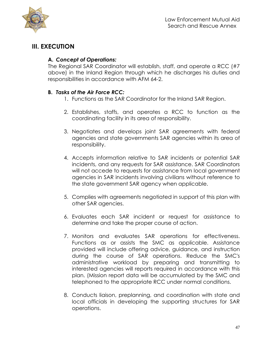

# **III. EXECUTION**

#### **A.** *Concept of Operations:*

The Regional SAR Coordinator will establish, staff, and operate a RCC (#7 above) in the Inland Region through which he discharges his duties and responsibilities in accordance with AFM 64-2.

#### **B.** *Tasks of the Air Force RCC:*

- 1. Functions as the SAR Coordinator for the Inland SAR Region.
- 2. Establishes, staffs, and operates a RCC to function as the coordinating facility in its area of responsibility.
- 3. Negotiates and develops joint SAR agreements with federal agencies and state governments SAR agencies within its area of responsibility.
- 4. Accepts information relative to SAR incidents or potential SAR incidents, and any requests for SAR assistance. SAR Coordinators will not accede to requests for assistance from local government agencies in SAR incidents involving civilians without reference to the state government SAR agency when applicable.
- 5. Complies with agreements negotiated in support of this plan with other SAR agencies.
- 6. Evaluates each SAR incident or request for assistance to determine and take the proper course of action.
- 7. Monitors and evaluates SAR operations for effectiveness. Functions as or assists the SMC as applicable. Assistance provided will include offering advice, guidance, and instruction during the course of SAR operations. Reduce the SMC's administrative workload by preparing and transmitting to interested agencies will reports required in accordance with this plan. (Mission report data will be accumulated by the SMC and telephoned to the appropriate RCC under normal conditions.
- 8. Conducts liaison, preplanning, and coordination with state and local officials in developing the supporting structures for SAR operations.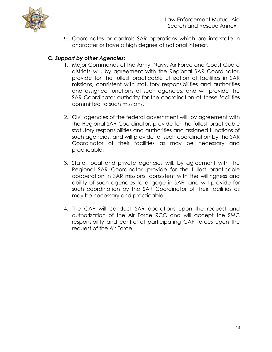

9. Coordinates or controls SAR operations which are interstate in character or have a high degree of national interest.

### **C.** *Support by other Agencies:*

- 1. Major Commands of the Army, Navy, Air Force and Coast Guard districts will, by agreement with the Regional SAR Coordinator, provide for the fullest practicable utilization of facilities in SAR missions, consistent with statutory responsibilities and authorities and assigned functions of such agencies, and will provide the SAR Coordinator authority for the coordination of these facilities committed to such missions.
- 2. Civil agencies of the federal government will, by agreement with the Regional SAR Coordinator, provide for the fullest practicable statutory responsibilities and authorities and assigned functions of such agencies, and will provide for such coordination by the SAR Coordinator of their facilities as may be necessary and practicable.
- 3. State, local and private agencies will, by agreement with the Regional SAR Coordinator, provide for the fullest practicable cooperation in SAR missions, consistent with the willingness and ability of such agencies to engage in SAR, and will provide for such coordination by the SAR Coordinator of their facilities as may be necessary and practicable.
- 4. The CAP will conduct SAR operations upon the request and authorization of the Air Force RCC and will accept the SMC responsibility and control of participating CAP forces upon the request of the Air Force.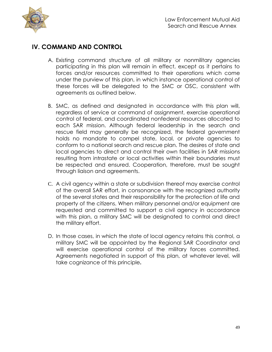

# **IV. COMMAND AND CONTROL**

- A. Existing command structure of all military or nonmilitary agencies participating in this plan will remain in effect, except as it pertains to forces and/or resources committed to their operations which come under the purview of this plan, in which instance operational control of these forces will be delegated to the SMC or OSC, consistent with agreements as outlined below.
- B. SMC, as defined and designated in accordance with this plan will, regardless of service or command of assignment, exercise operational control of federal, and coordinated nonfederal resources allocated to each SAR mission. Although federal leadership in the search and rescue field may generally be recognized, the federal government holds no mandate to compel state, local, or private agencies to conform to a national search and rescue plan. The desires of state and local agencies to direct and control their own facilities in SAR missions resulting from intrastate or local activities within their boundaries must be respected and ensured. Cooperation, therefore, must be sought through liaison and agreements.
- C. A civil agency within a state or subdivision thereof may exercise control of the overall SAR effort, in consonance with the recognized authority of the several states and their responsibility for the protection of life and property of the citizens. When military personnel and/or equipment are requested and committed to support a civil agency in accordance with this plan, a military SMC will be designated to control and direct the military effort.
- D. In those cases, in which the state of local agency retains this control, a military SMC will be appointed by the Regional SAR Coordinator and will exercise operational control of the military forces committed. Agreements negotiated in support of this plan, at whatever level, will take cognizance of this principle**.**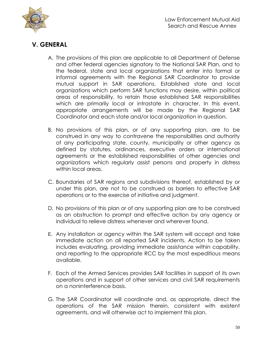

# **V. GENERAL**

- A. The provisions of this plan are applicable to all Department of Defense and other federal agencies signatory to the National SAR Plan, and to the federal, state and local organizations that enter into formal or informal agreements with the Regional SAR Coordinator to provide mutual support in SAR operations. Established state and local organizations which perform SAR functions may desire, within political areas of responsibility, to retain those established SAR responsibilities which are primarily local or intrastate in character. In this event, appropriate arrangements will be made by the Regional SAR Coordinator and each state and/or local organization in question.
- B. No provisions of this plan, or of any supporting plan, are to be construed in any way to contravene the responsibilities and authority of any participating state, county, municipality or other agency as defined by statutes, ordinances, executive orders or international agreements or the established responsibilities of other agencies and organizations which regularly assist persons and property in distress within local areas.
- C. Boundaries of SAR regions and subdivisions thereof, established by or under this plan, are not to be construed as barriers to effective SAR operations or to the exercise of initiative and judgment.
- D. No provisions of this plan or of any supporting plan are to be construed as an obstruction to prompt and effective action by any agency or individual to relieve distress whenever and wherever found.
- E. Any installation or agency within the SAR system will accept and take immediate action on all reported SAR incidents. Action to be taken includes evaluating, providing immediate assistance within capability, and reporting to the appropriate RCC by the most expeditious means available.
- F. Each of the Armed Services provides SAR facilities in support of its own operations and in support of other services and civil SAR requirements on a noninterference basis.
- G. The SAR Coordinator will coordinate and, as appropriate, direct the operations of the SAR mission therein, consistent with existent agreements, and will otherwise act to implement this plan.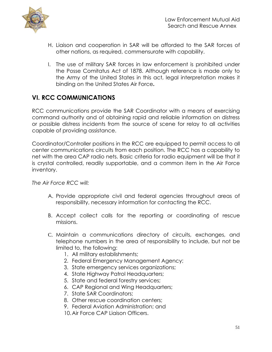

- H. Liaison and cooperation in SAR will be afforded to the SAR forces of other nations, as required, commensurate with capability.
- I. The use of military SAR forces in law enforcement is prohibited under the Posse Comitatus Act of 1878. Although reference is made only to the Army of the United States in this act, legal interpretation makes it binding on the United States Air Force**.**

# **VI. RCC COMMUNICATIONS**

RCC communications provide the SAR Coordinator with a means of exercising command authority and of obtaining rapid and reliable information on distress or possible distress incidents from the source of scene for relay to all activities capable of providing assistance.

Coordinator/Controller positions in the RCC are equipped to permit access to all center communications circuits from each position. The RCC has a capability to net with the area CAP radio nets. Basic criteria for radio equipment will be that it is crystal controlled, readily supportable, and a common item in the Air Force inventory.

*The Air Force RCC will:*

- A. Provide appropriate civil and federal agencies throughout areas of responsibility, necessary information for contacting the RCC.
- B. Accept collect calls for the reporting or coordinating of rescue missions.
- C. Maintain a communications directory of circuits, exchanges, and telephone numbers in the area of responsibility to include, but not be limited to, the following:
	- 1. All military establishments;
	- 2. Federal Emergency Management Agency;
	- 3. State emergency services organizations;
	- 4. State Highway Patrol Headquarters;
	- 5. State and federal forestry services;
	- 6. CAP Regional and Wing Headquarters;
	- 7. State SAR Coordinators;
	- 8. Other rescue coordination centers;
	- 9. Federal Aviation Administration; and
	- 10.Air Force CAP Liaison Officers.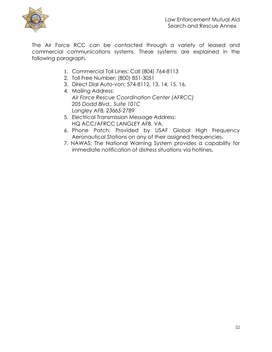

The Air Force RCC can be contacted through a variety of leased and commercial communications systems. These systems are explained in the following paragraph.

- 1. Commercial Toll Lines: Call (804) 764-8113
- 2. Toll Free Number: (800) 851-3051
- 3. Direct Dial Auto-von: 574-8112, 13, 14, 15, 16.
- 4. Mailing Address: *Air Force Rescue Coordination Center (AFRCC) 205 Dodd Blvd., Suite 101C Langley AFB, 23665-2789*
- 5. Electrical Transmission Message Address: HQ ACC/AFRCC LANGLEY AFB, VA.
- 6. Phone Patch: Provided by USAF Global High Frequency Aeronautical Stations on any of their assigned frequencies.
- 7. NAWAS: The National Warning System provides a capability for immediate notification of distress situations via hotlines**.**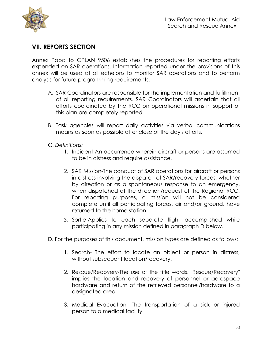

# **VII. REPORTS SECTION**

Annex Papa to OPLAN 9506 establishes the procedures for reporting efforts expended on SAR operations. Information reported under the provisions of this annex will be used at all echelons to monitor SAR operations and to perform analysis for future programming requirements.

- A. SAR Coordinators are responsible for the implementation and fulfillment of all reporting requirements. SAR Coordinators will ascertain that all efforts coordinated by the RCC on operational missions in support of this plan are completely reported.
- B. Task agencies will report daily activities via verbal communications means as soon as possible after close of the day's efforts.
- C. *Definitions:*
	- 1. Incident-An occurrence wherein aircraft or persons are assumed to be in distress and require assistance.
	- 2. SAR Mission-The conduct of SAR operations for aircraft or persons in distress involving the dispatch of SAR/recovery forces, whether by direction or as a spontaneous response to an emergency, when dispatched at the direction/request of the Regional RCC. For reporting purposes, a mission will not be considered complete until all participating forces, air and/or ground, have returned to the home station.
	- 3. Sortie-Applies to each separate flight accomplished while participating in any mission defined in paragraph D below.
- D. For the purposes of this document, mission types are defined as follows:
	- 1. Search- The effort to locate an object or person in distress, without subsequent location/recovery.
	- 2. Rescue/Recovery-The use of the title words, "Rescue/Recovery" implies the location and recovery of personnel or aerospace hardware and return of the retrieved personnel/hardware to a designated area.
	- 3. Medical Evacuation- The transportation of a sick or injured person to a medical facility.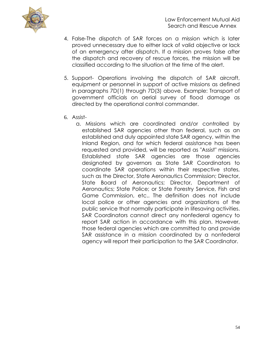

- 4. False-The dispatch of SAR forces on a mission which is later proved unnecessary due to either lack of valid objective or lack of an emergency after dispatch. If a mission proves false after the dispatch and recovery of rescue forces, the mission will be classified according to the situation at the time of the alert.
- 5. Support- Operations involving the dispatch of SAR aircraft, equipment or personnel in support of active missions as defined in paragraphs 7D(1) through 7D(3) above. Example: Transport of government officials on aerial survey of flood damage as directed by the operational control commander.
- 6. Assist
	- a. Missions which are coordinated and/or controlled by established SAR agencies other than federal, such as an established and duly appointed state SAR agency, within the Inland Region, and for which federal assistance has been requested and provided, will be reported as "Assist" missions. Established state SAR agencies are those agencies designated by governors as State SAR Coordinators to coordinate SAR operations within their respective states, such as the Director, State Aeronautics Commission; Director, State Board of Aeronautics; Director, Department of Aeronautics; State Police; or State Forestry Service, Fish and Game Commission, etc.. The definition does not include local police or other agencies and organizations of the public service that normally participate in lifesaving activities. SAR Coordinators cannot direct any nonfederal agency to report SAR action in accordance with this plan. However, those federal agencies which are committed to and provide SAR assistance in a mission coordinated by a nonfederal agency will report their participation to the SAR Coordinator.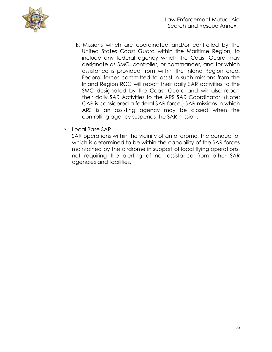

- b. Missions which are coordinated and/or controlled by the United States Coast Guard within the Maritime Region, to include any federal agency which the Coast Guard may designate as SMC, controller, or commander, and for which assistance is provided from within the Inland Region area. Federal forces committed to assist in such missions from the Inland Region RCC will report their daily SAR activities to the SMC designated by the Coast Guard and will also report their daily SAR Activities to the ARS SAR Coordinator. (Note: CAP is considered a federal SAR force.) SAR missions in which ARS is an assisting agency may be closed when the controlling agency suspends the SAR mission.
- 7. Local Base SAR

SAR operations within the vicinity of an airdrome, the conduct of which is determined to be within the capability of the SAR forces maintained by the airdrome in support of local flying operations, not requiring the alerting of nor assistance from other SAR agencies and facilities.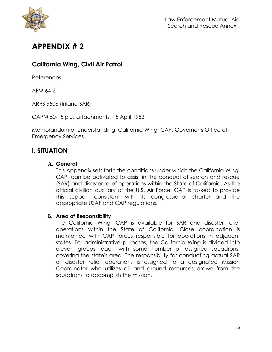

# **APPENDIX # 2**

# **California Wing, Civil Air Patrol**

References:

AFM 64-2

ARRS 9506 (Inland SAR)

CAPM 50-15 plus attachments, 15 April 1983

Memorandum of Understanding, California Wing, CAP, Governor's Office of Emergency Services.

# **I. SITUATION**

#### **A. General**

This Appendix sets forth the conditions under which the California Wing, CAP, can be activated to assist in the conduct of search and rescue (SAR) and disaster relief operations within the State of California. As the official civilian auxiliary of the U.S. Air Force, CAP is tasked to provide this support consistent with its congressional charter and the appropriate USAF and CAP regulations.

#### **B. Area of Responsibility**

The California Wing, CAP is available for SAR and disaster relief operations within the State of California. Close coordination is maintained with CAP forces responsible for operations in adjacent states. For administrative purposes, the California Wing is divided into eleven groups, each with some number of assigned squadrons, covering the state's area. The responsibility for conducting actual SAR or disaster relief operations is assigned to a designated Mission Coordinator who utilizes air and ground resources drawn from the squadrons to accomplish the mission.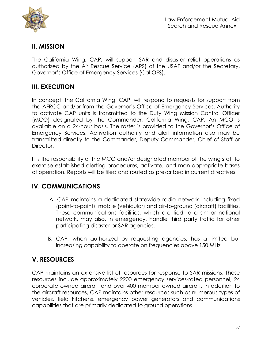

# **II. MISSION**

The California Wing, CAP, will support SAR and disaster relief operations as authorized by the Air Rescue Service (ARS) of the USAF and/or the Secretary, Governor's Office of Emergency Services (Cal OES).

# **III. EXECUTION**

In concept, the California Wing, CAP, will respond to requests for support from the AFRCC and/or from the Governor's Office of Emergency Services. Authority to activate CAP units is transmitted to the Duty Wing Mission Control Officer (MCO) designated by the Commander, California Wing, CAP. An MCO is available on a 24-hour basis. The roster is provided to the Governor's Office of Emergency Services. Activation authority and alert information also may be transmitted directly to the Commander, Deputy Commander, Chief of Staff or Director.

It is the responsibility of the MCO and/or designated member of the wing staff to exercise established alerting procedures, activate, and man appropriate bases of operation. Reports will be filed and routed as prescribed in current directives.

# **IV. COMMUNICATIONS**

- A. CAP maintains a dedicated statewide radio network including fixed (point-to-point), mobile (vehicular) and air-to-ground (aircraft) facilities. These communications facilities, which are tied to a similar national network, may also, in emergency, handle third party traffic for other participating disaster or SAR agencies.
- B. CAP, when authorized by requesting agencies, has a limited but increasing capability to operate on frequencies above 150 MHz

# **V. RESOURCES**

CAP maintains an extensive list of resources for response to SAR missions. These resources include approximately 2200 emergency services-rated personnel, 24 corporate owned aircraft and over 400 member owned aircraft. In addition to the aircraft resources, CAP maintains other resources such as numerous types of vehicles, field kitchens, emergency power generators and communications capabilities that are primarily dedicated to ground operations.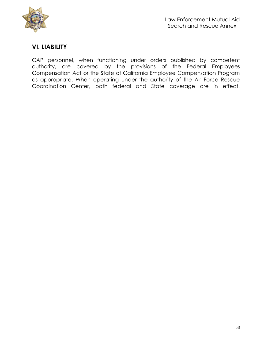

# **VI. LIABILITY**

CAP personnel, when functioning under orders published by competent authority, are covered by the provisions of the Federal Employees Compensation Act or the State of California Employee Compensation Program as appropriate. When operating under the authority of the Air Force Rescue Coordination Center, both federal and State coverage are in effect.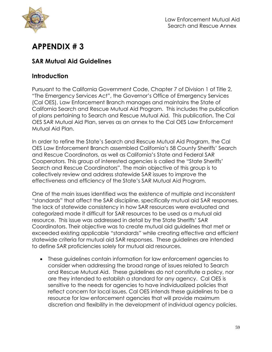

# **APPENDIX # 3**

# **SAR Mutual Aid Guidelines**

# **Introduction**

Pursuant to the California Government Code, Chapter 7 of Division 1 of Title 2, "The Emergency Services Act", the Governor's Office of Emergency Services (Cal OES), Law Enforcement Branch manages and maintains the State of California Search and Rescue Mutual Aid Program. This includes the publication of plans pertaining to Search and Rescue Mutual Aid. This publication, The Cal OES SAR Mutual Aid Plan, serves as an annex to the Cal OES Law Enforcement Mutual Aid Plan.

In order to refine the State's Search and Rescue Mutual Aid Program, the Cal OES Law Enforcement Branch assembled California's 58 County Sheriffs' Search and Rescue Coordinators, as well as California's State and Federal SAR Cooperators. This group of interested agencies is called the "State Sheriffs' Search and Rescue Coordinators". The main objective of this group is to collectively review and address statewide SAR issues to improve the effectiveness and efficiency of the State's SAR Mutual Aid Program.

One of the main issues identified was the existence of multiple and inconsistent "standards" that affect the SAR discipline, specifically mutual aid SAR responses. The lack of statewide consistency in how SAR resources were evaluated and categorized made it difficult for SAR resources to be used as a mutual aid resource. This issue was addressed in detail by the State Sheriffs' SAR Coordinators. Their objective was to create mutual aid guidelines that met or exceeded existing applicable "standards" while creating effective and efficient statewide criteria for mutual aid SAR responses. These guidelines are intended to define SAR proficiencies solely for mutual aid resources.

• These guidelines contain information for law enforcement agencies to consider when addressing the broad range of issues related to Search and Rescue Mutual Aid. These guidelines do not constitute a policy, nor are they intended to establish a standard for any agency. Cal OES is sensitive to the needs for agencies to have individualized policies that reflect concern for local issues. Cal OES intends these guidelines to be a resource for law enforcement agencies that will provide maximum discretion and flexibility in the development of individual agency policies.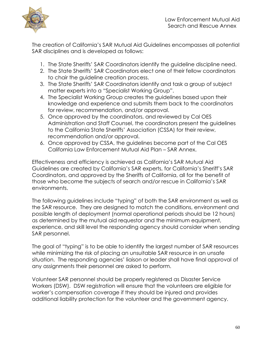

The creation of California's SAR Mutual Aid Guidelines encompasses all potential SAR disciplines and is developed as follows:

- 1. The State Sheriffs' SAR Coordinators identify the guideline discipline need.
- 2. The State Sheriffs' SAR Coordinators elect one of their fellow coordinators to chair the guideline creation process.
- 3. The State Sheriffs' SAR Coordinators identify and task a group of subject matter experts into a "Specialist Working Group".
- 4. The Specialist Working Group creates the guidelines based upon their knowledge and experience and submits them back to the coordinators for review, recommendation, and/or approval.
- 5. Once approved by the coordinators, and reviewed by Cal OES Administration and Staff Counsel, the coordinators present the guidelines to the California State Sheriffs' Association (CSSA) for their review, recommendation and/or approval.
- 6. Once approved by CSSA, the guidelines become part of the Cal OES California Law Enforcement Mutual Aid Plan – SAR Annex.

Effectiveness and efficiency is achieved as California's SAR Mutual Aid Guidelines are created by California's SAR experts, for California's Sheriff's SAR Coordinators, and approved by the Sheriffs of California, all for the benefit of those who become the subjects of search and/or rescue in California's SAR environments.

The following guidelines include "typing" of both the SAR environment as well as the SAR resource. They are designed to match the conditions, environment and possible length of deployment (normal operational periods should be 12 hours) as determined by the mutual aid requestor and the minimum equipment, experience, and skill level the responding agency should consider when sending SAR personnel.

The goal of "typing" is to be able to identify the largest number of SAR resources while minimizing the risk of placing an unsuitable SAR resource in an unsafe situation. The responding agencies' liaison or leader shall have final approval of any assignments their personnel are asked to perform.

Volunteer SAR personnel should be properly registered as Disaster Service Workers (DSW). DSW registration will ensure that the volunteers are eligible for worker's compensation coverage if they should be injured and provides additional liability protection for the volunteer and the government agency.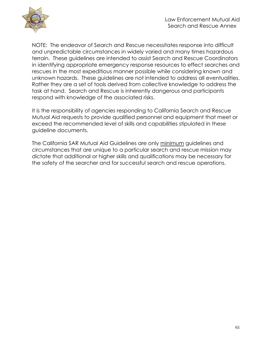

NOTE: The endeavor of Search and Rescue necessitates response into difficult and unpredictable circumstances in widely varied and many times hazardous terrain. These guidelines are intended to assist Search and Rescue Coordinators in identifying appropriate emergency response resources to effect searches and rescues in the most expeditious manner possible while considering known and unknown hazards. These guidelines are not intended to address all eventualities. Rather they are a set of tools derived from collective knowledge to address the task at hand. Search and Rescue is inherently dangerous and participants respond with knowledge of the associated risks.

It is the responsibility of agencies responding to California Search and Rescue Mutual Aid requests to provide qualified personnel and equipment that meet or exceed the recommended level of skills and capabilities stipulated in these guideline documents.

The California SAR Mutual Aid Guidelines are only minimum guidelines and circumstances that are unique to a particular search and rescue mission may dictate that additional or higher skills and qualifications may be necessary for the safety of the searcher and for successful search and rescue operations.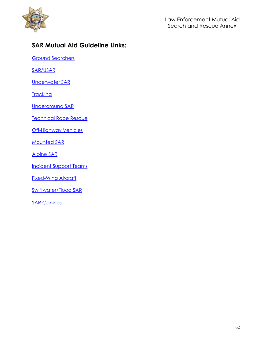

# **SAR Mutual Aid Guideline Links:**

[Ground Searchers](http://www.caloes.ca.gov/LawEnforcementSite/Documents/SAR%20Ground%20Searchers%20MA%20Guideline.pdf)

[SAR/USAR](http://www.caloes.ca.gov/LawEnforcementSite/Documents/SAR-USAR%20MA%20Guideline%2010_14.pdf)

[Underwater SAR](http://www.caloes.ca.gov/LawEnforcementSite/Documents/SAR%20Underwater%20MA%20Guideline%2010_14.pdf)

**[Tracking](http://www.caloes.ca.gov/LawEnforcementSite/Documents/SAR%20Tracking%20MA%20Guidelines%2010_14.pdf)** 

[Underground SAR](http://www.caloes.ca.gov/LawEnforcementSite/Documents/SAR%20Underground%20MA%20Guideline%2010_14.pdf)

[Technical Rope Rescue](http://www.caloes.ca.gov/LawEnforcementSite/Documents/SAR%20Technical%20Rope%20Rescue%20MA%20Guideline.pdf)

[Off-Highway Vehicles](http://www.caloes.ca.gov/LawEnforcementSite/Documents/SAR%20OHV%20Mutual%20Aid%20Guideline%2010_14.pdf)

**[Mounted SAR](http://www.caloes.ca.gov/LawEnforcementSite/Documents/SAR%20Mounted%20Teams%20MA%20Guideline%2010_14.pdf)** 

[Alpine SAR](http://www.caloes.ca.gov/LawEnforcementSite/Documents/SAR%20Alpine%20Team%20MA%20Guideline.pdf)

[Incident Support Teams](http://www.caloes.ca.gov/LawEnforcementSite/Documents/SAR%20Incident%20Support%20Team%20MA%20Guideline.pdf)

[Fixed-Wing Aircraft](http://www.caloes.ca.gov/LawEnforcementSite/Documents/SAR%20Fixed%20Wing%20Aircraft%20MA%20Guideline.pdf)

[Swiftwater/Flood SAR](http://www.caloes.ca.gov/LawEnforcementSite/Documents/SAR%20Swiftwater-Flood%20MA%20Guideline.pdf)

**[SAR Canines](http://www.caloes.ca.gov/LawEnforcementSite/Documents/SAR%20Dog%20AA%20MA%20Guideline%20App.pdf)**